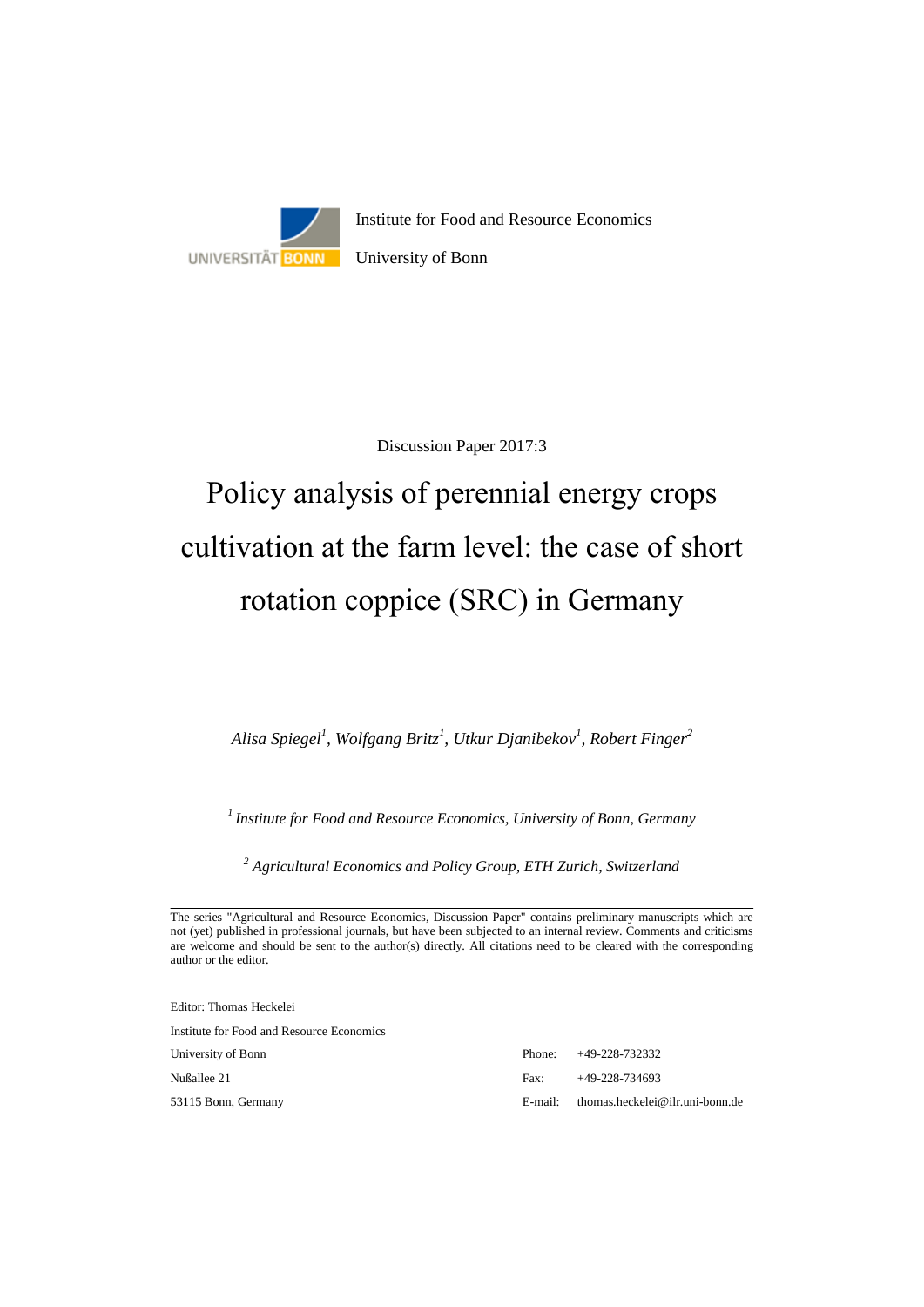

Discussion Paper 2017:3

# Policy analysis of perennial energy crops cultivation at the farm level: the case of short rotation coppice (SRC) in Germany

*Alisa Spiegel<sup>1</sup> , Wolfgang Britz<sup>1</sup> , Utkur Djanibekov<sup>1</sup> , Robert Finger<sup>2</sup>*

*<sup>1</sup>Institute for Food and Resource Economics, University of Bonn, Germany*

*<sup>2</sup> Agricultural Economics and Policy Group, ETH Zurich, Switzerland*

Editor: Thomas Heckelei

Institute for Food and Resource Economics

University of Bonn

53115 Bonn, Germany

Nußallee 21

|      | $E$ -mail: thomas.heckelei@ilr.uni-bonn.de |
|------|--------------------------------------------|
| Fax: | +49-228-734693                             |
|      | Phone: $+49-228-732332$                    |

The series "Agricultural and Resource Economics, Discussion Paper" contains preliminary manuscripts which are not (yet) published in professional journals, but have been subjected to an internal review. Comments and criticisms are welcome and should be sent to the author(s) directly. All citations need to be cleared with the corresponding author or the editor.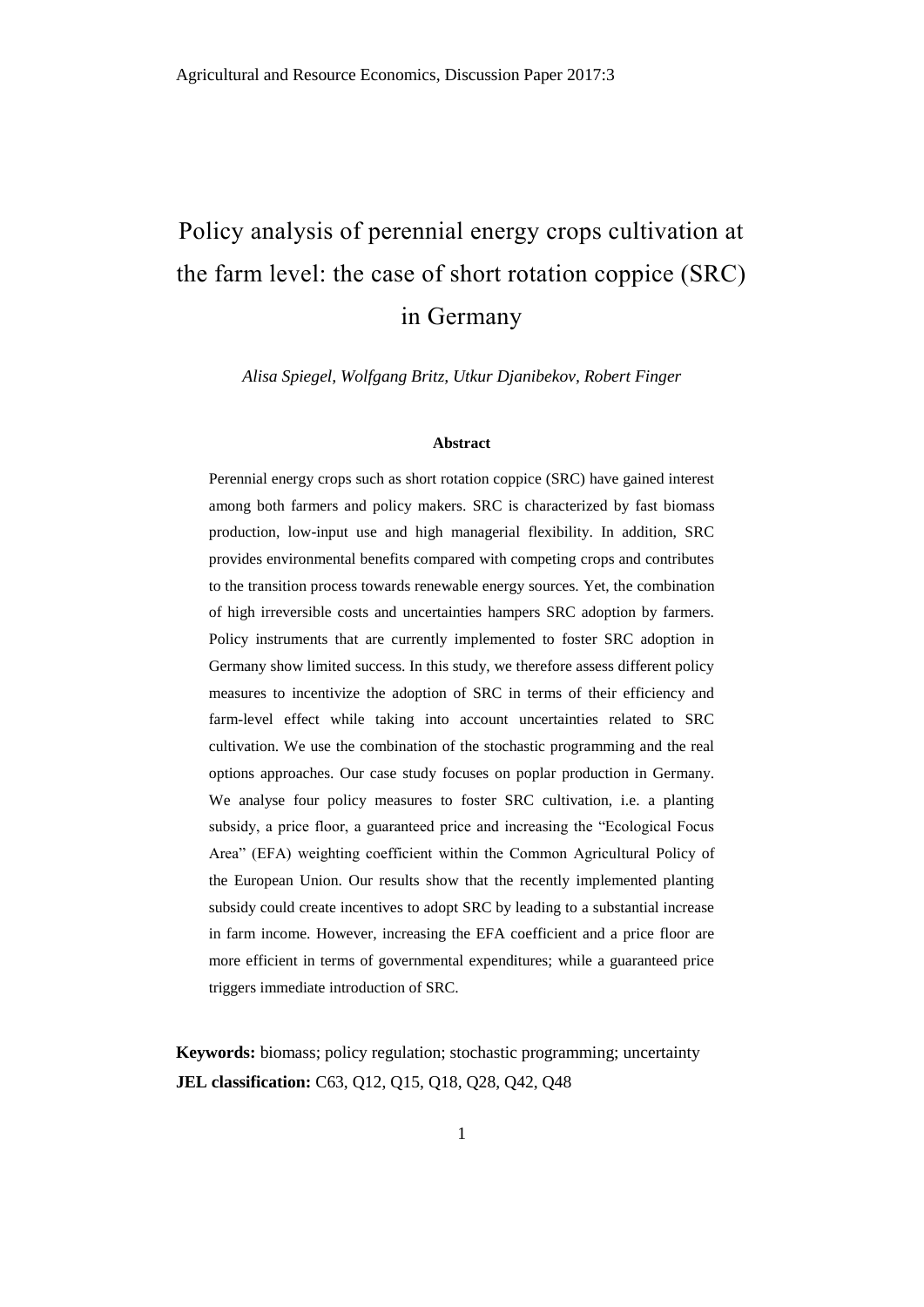# Policy analysis of perennial energy crops cultivation at the farm level: the case of short rotation coppice (SRC) in Germany

*Alisa Spiegel, Wolfgang Britz, Utkur Djanibekov, Robert Finger*

#### **Abstract**

Perennial energy crops such as short rotation coppice (SRC) have gained interest among both farmers and policy makers. SRC is characterized by fast biomass production, low-input use and high managerial flexibility. In addition, SRC provides environmental benefits compared with competing crops and contributes to the transition process towards renewable energy sources. Yet, the combination of high irreversible costs and uncertainties hampers SRC adoption by farmers. Policy instruments that are currently implemented to foster SRC adoption in Germany show limited success. In this study, we therefore assess different policy measures to incentivize the adoption of SRC in terms of their efficiency and farm-level effect while taking into account uncertainties related to SRC cultivation. We use the combination of the stochastic programming and the real options approaches. Our case study focuses on poplar production in Germany. We analyse four policy measures to foster SRC cultivation, i.e. a planting subsidy, a price floor, a guaranteed price and increasing the "Ecological Focus Area" (EFA) weighting coefficient within the Common Agricultural Policy of the European Union. Our results show that the recently implemented planting subsidy could create incentives to adopt SRC by leading to a substantial increase in farm income. However, increasing the EFA coefficient and a price floor are more efficient in terms of governmental expenditures; while a guaranteed price triggers immediate introduction of SRC.

**Keywords:** biomass; policy regulation; stochastic programming; uncertainty **JEL classification:** C63, Q12, Q15, Q18, Q28, Q42, Q48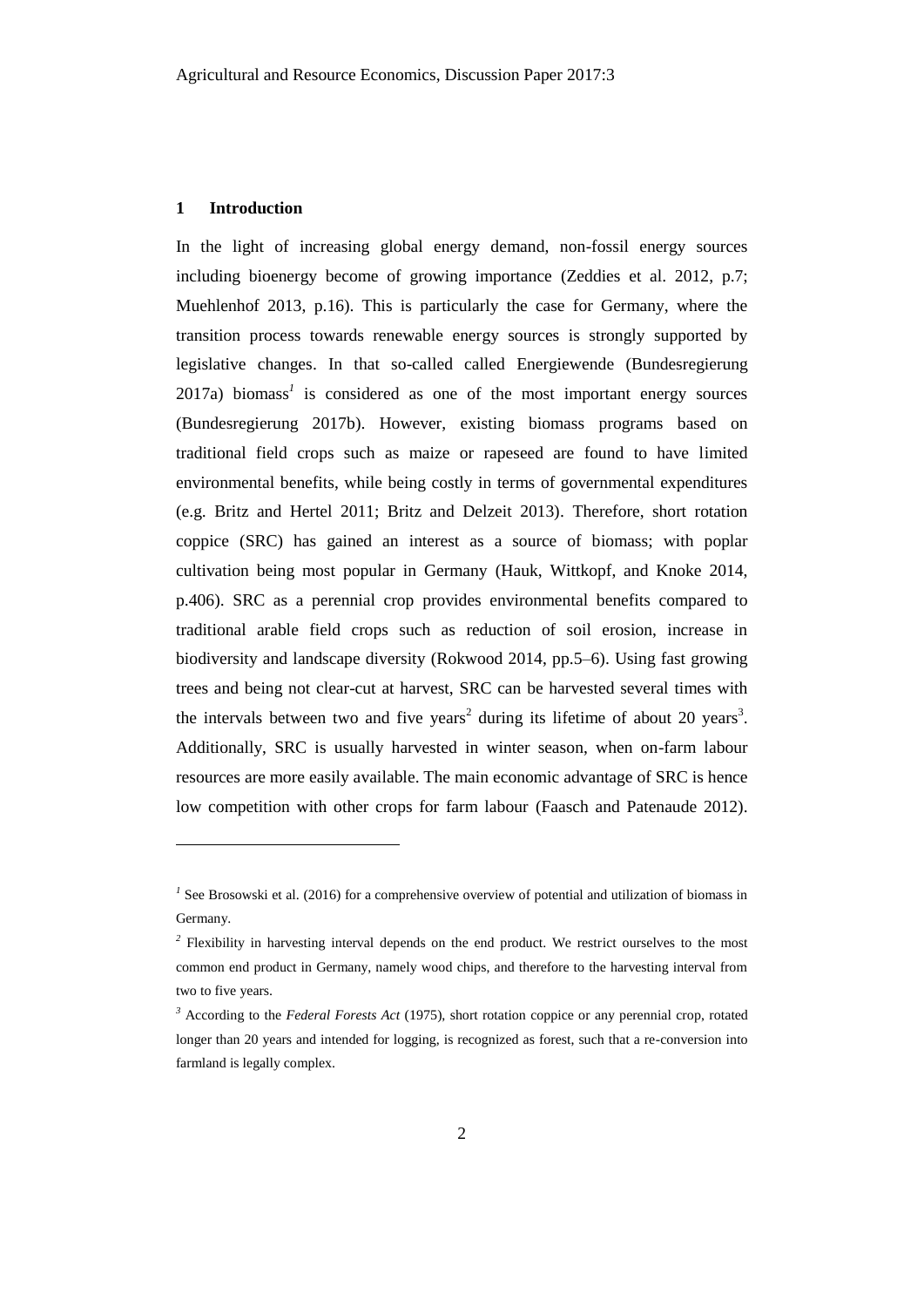## **1 Introduction**

 $\overline{a}$ 

In the light of increasing global energy demand, non-fossil energy sources including bioenergy become of growing importance (Zeddies et al. 2012, p.7; Muehlenhof 2013, p.16). This is particularly the case for Germany, where the transition process towards renewable energy sources is strongly supported by legislative changes. In that so-called called Energiewende (Bundesregierung 2017a) biomass*<sup>1</sup>* is considered as one of the most important energy sources (Bundesregierung 2017b). However, existing biomass programs based on traditional field crops such as maize or rapeseed are found to have limited environmental benefits, while being costly in terms of governmental expenditures (e.g. Britz and Hertel 2011; Britz and Delzeit 2013). Therefore, short rotation coppice (SRC) has gained an interest as a source of biomass; with poplar cultivation being most popular in Germany (Hauk, Wittkopf, and Knoke 2014, p.406). SRC as a perennial crop provides environmental benefits compared to traditional arable field crops such as reduction of soil erosion, increase in biodiversity and landscape diversity (Rokwood 2014, pp.5–6). Using fast growing trees and being not clear-cut at harvest, SRC can be harvested several times with the intervals between two and five years<sup>2</sup> during its lifetime of about 20 years<sup>3</sup>. Additionally, SRC is usually harvested in winter season, when on-farm labour resources are more easily available. The main economic advantage of SRC is hence low competition with other crops for farm labour (Faasch and Patenaude 2012).

<sup>&</sup>lt;sup>1</sup> See Brosowski et al. (2016) for a comprehensive overview of potential and utilization of biomass in Germany.

<sup>&</sup>lt;sup>2</sup> Flexibility in harvesting interval depends on the end product. We restrict ourselves to the most common end product in Germany, namely wood chips, and therefore to the harvesting interval from two to five years.

*<sup>3</sup>* According to the *Federal Forests Act* (1975), short rotation coppice or any perennial crop, rotated longer than 20 years and intended for logging, is recognized as forest, such that a re-conversion into farmland is legally complex.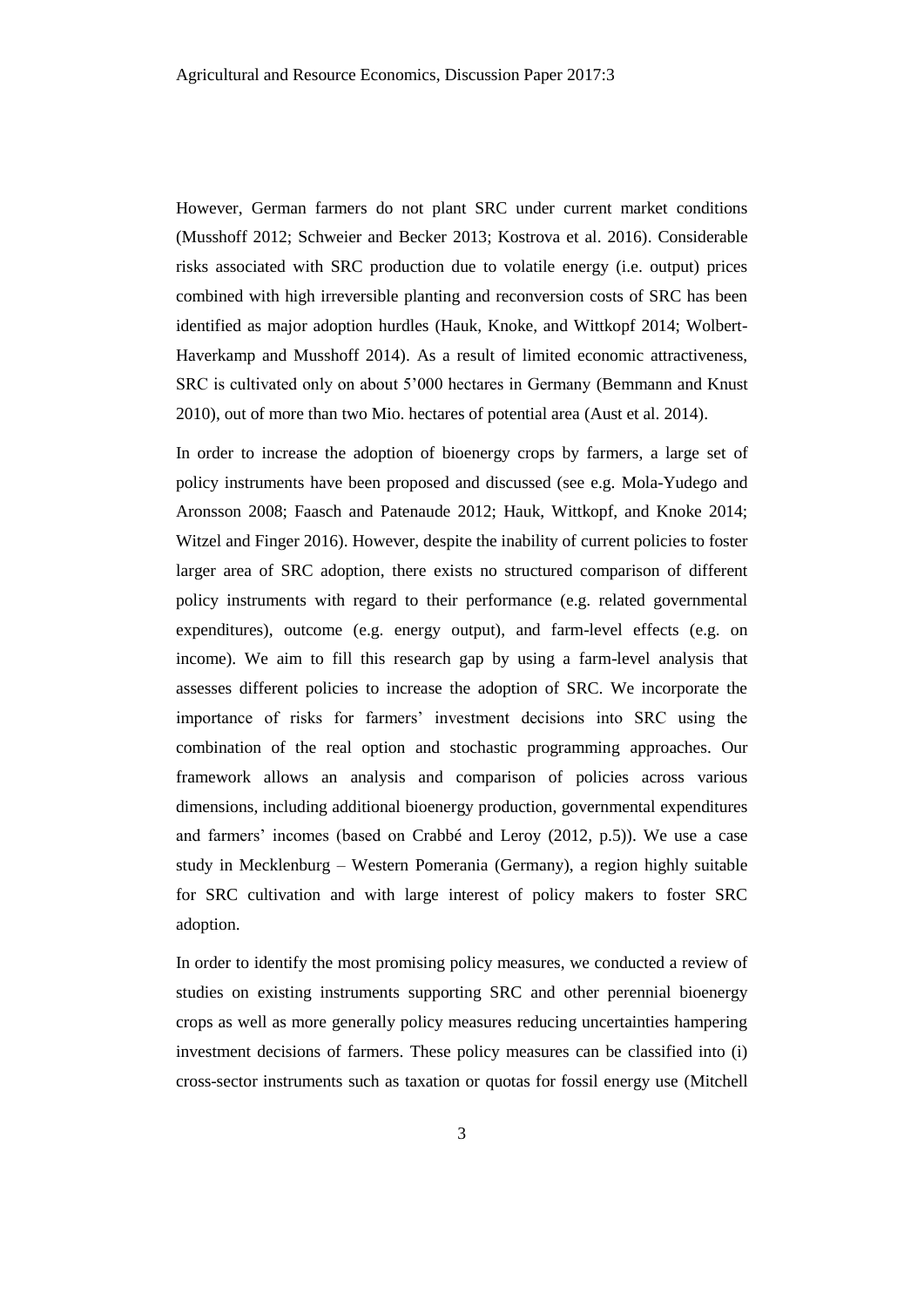However, German farmers do not plant SRC under current market conditions (Musshoff 2012; Schweier and Becker 2013; Kostrova et al. 2016). Considerable risks associated with SRC production due to volatile energy (i.e. output) prices combined with high irreversible planting and reconversion costs of SRC has been identified as major adoption hurdles (Hauk, Knoke, and Wittkopf 2014; Wolbert-Haverkamp and Musshoff 2014). As a result of limited economic attractiveness, SRC is cultivated only on about 5'000 hectares in Germany (Bemmann and Knust 2010), out of more than two Mio. hectares of potential area (Aust et al. 2014).

In order to increase the adoption of bioenergy crops by farmers, a large set of policy instruments have been proposed and discussed (see e.g. Mola-Yudego and Aronsson 2008; Faasch and Patenaude 2012; Hauk, Wittkopf, and Knoke 2014; Witzel and Finger 2016). However, despite the inability of current policies to foster larger area of SRC adoption, there exists no structured comparison of different policy instruments with regard to their performance (e.g. related governmental expenditures), outcome (e.g. energy output), and farm-level effects (e.g. on income). We aim to fill this research gap by using a farm-level analysis that assesses different policies to increase the adoption of SRC. We incorporate the importance of risks for farmers' investment decisions into SRC using the combination of the real option and stochastic programming approaches. Our framework allows an analysis and comparison of policies across various dimensions, including additional bioenergy production, governmental expenditures and farmers' incomes (based on Crabbé and Leroy (2012, p.5)). We use a case study in Mecklenburg – Western Pomerania (Germany), a region highly suitable for SRC cultivation and with large interest of policy makers to foster SRC adoption.

In order to identify the most promising policy measures, we conducted a review of studies on existing instruments supporting SRC and other perennial bioenergy crops as well as more generally policy measures reducing uncertainties hampering investment decisions of farmers. These policy measures can be classified into (i) cross-sector instruments such as taxation or quotas for fossil energy use (Mitchell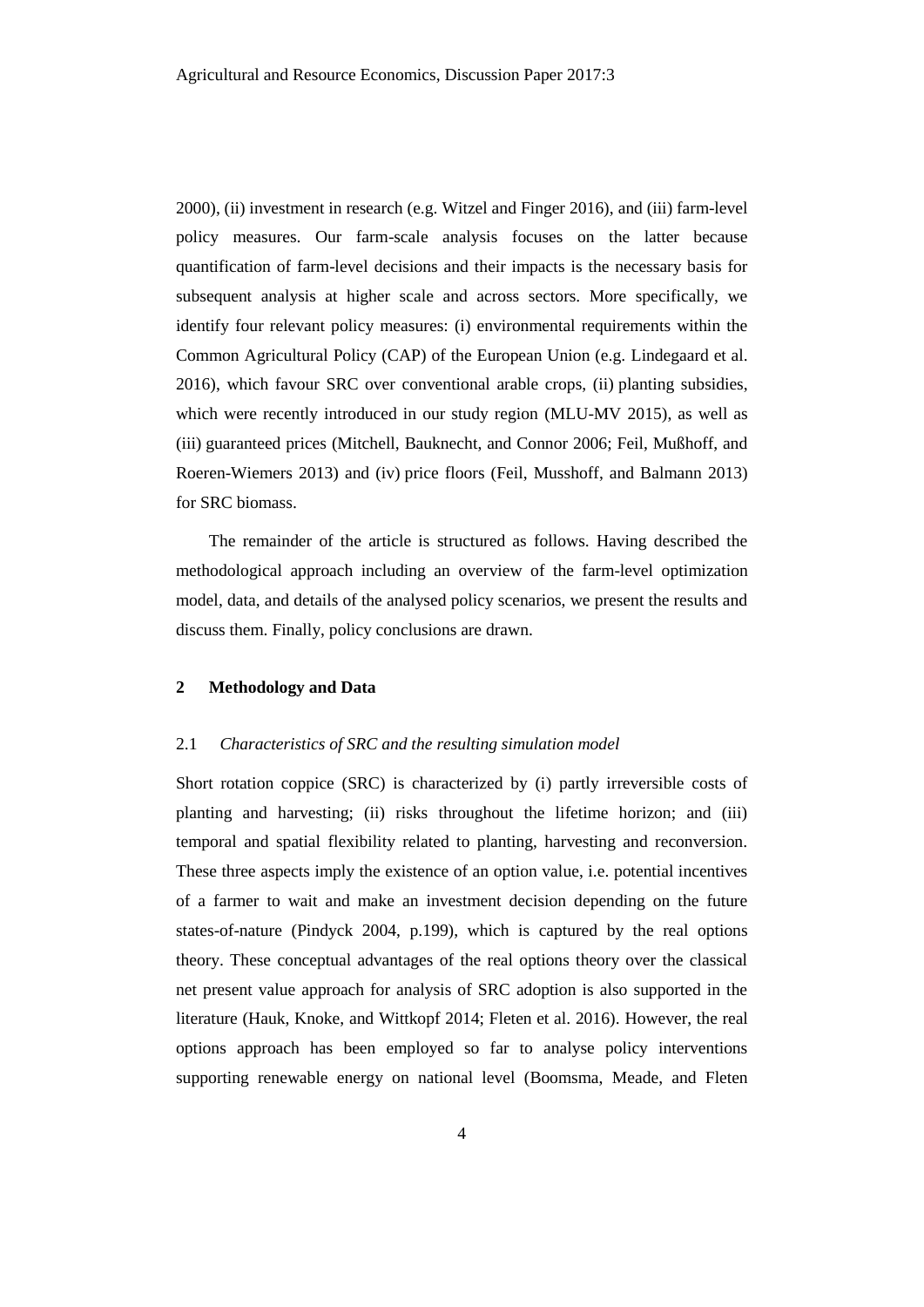2000), (ii) investment in research (e.g. Witzel and Finger 2016), and (iii) farm-level policy measures. Our farm-scale analysis focuses on the latter because quantification of farm-level decisions and their impacts is the necessary basis for subsequent analysis at higher scale and across sectors. More specifically, we identify four relevant policy measures: (i) environmental requirements within the Common Agricultural Policy (CAP) of the European Union (e.g. Lindegaard et al. 2016), which favour SRC over conventional arable crops, (ii) planting subsidies, which were recently introduced in our study region (MLU-MV 2015), as well as (iii) guaranteed prices (Mitchell, Bauknecht, and Connor 2006; Feil, Mußhoff, and Roeren-Wiemers 2013) and (iv) price floors (Feil, Musshoff, and Balmann 2013) for SRC biomass.

The remainder of the article is structured as follows. Having described the methodological approach including an overview of the farm-level optimization model, data, and details of the analysed policy scenarios, we present the results and discuss them. Finally, policy conclusions are drawn.

# **2 Methodology and Data**

### 2.1 *Characteristics of SRC and the resulting simulation model*

Short rotation coppice (SRC) is characterized by (i) partly irreversible costs of planting and harvesting; (ii) risks throughout the lifetime horizon; and (iii) temporal and spatial flexibility related to planting, harvesting and reconversion. These three aspects imply the existence of an option value, i.e. potential incentives of a farmer to wait and make an investment decision depending on the future states-of-nature (Pindyck 2004, p.199), which is captured by the real options theory. These conceptual advantages of the real options theory over the classical net present value approach for analysis of SRC adoption is also supported in the literature (Hauk, Knoke, and Wittkopf 2014; Fleten et al. 2016). However, the real options approach has been employed so far to analyse policy interventions supporting renewable energy on national level (Boomsma, Meade, and Fleten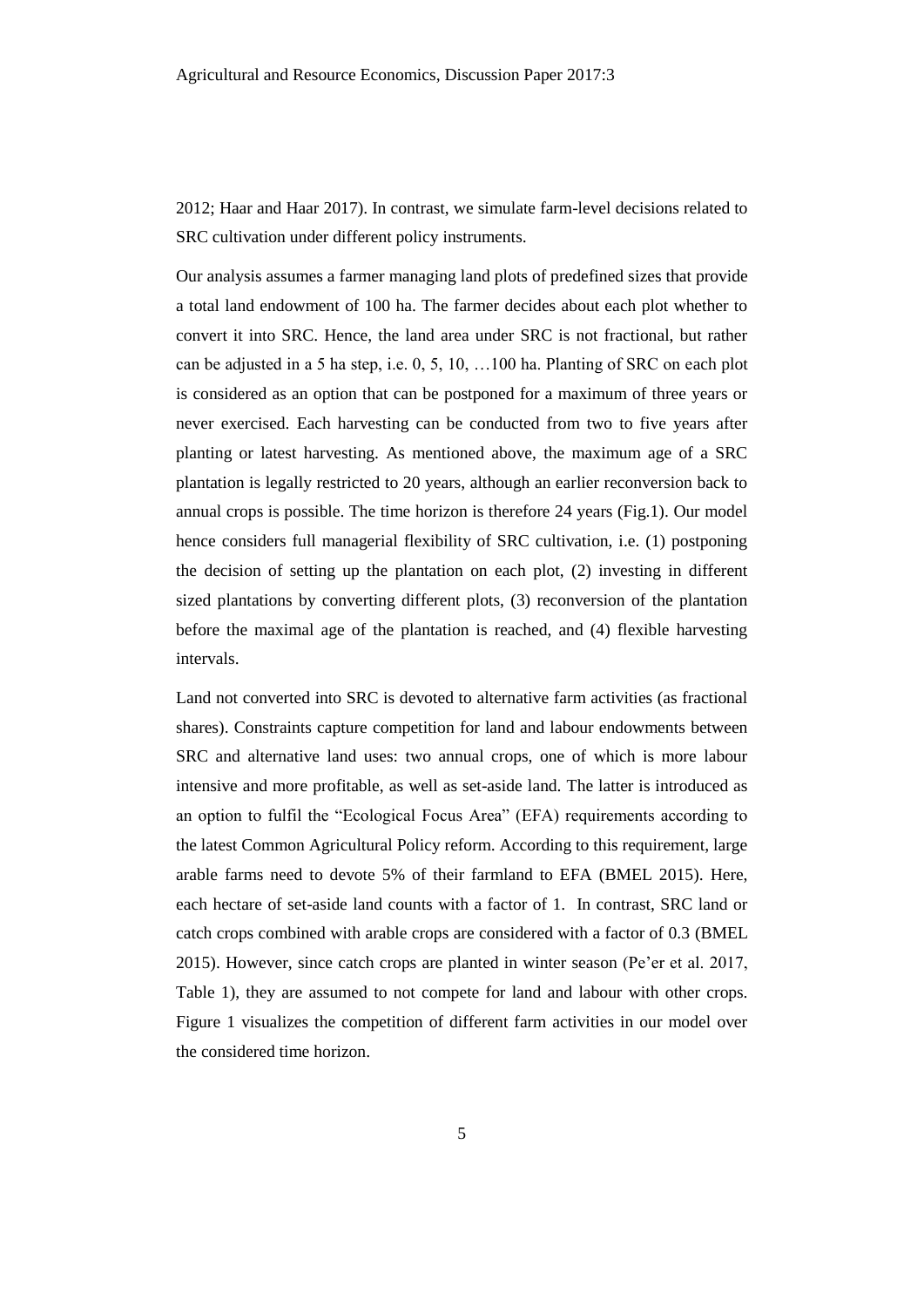2012; Haar and Haar 2017). In contrast, we simulate farm-level decisions related to SRC cultivation under different policy instruments.

Our analysis assumes a farmer managing land plots of predefined sizes that provide a total land endowment of 100 ha. The farmer decides about each plot whether to convert it into SRC. Hence, the land area under SRC is not fractional, but rather can be adjusted in a 5 ha step, i.e. 0, 5, 10, …100 ha. Planting of SRC on each plot is considered as an option that can be postponed for a maximum of three years or never exercised. Each harvesting can be conducted from two to five years after planting or latest harvesting. As mentioned above, the maximum age of a SRC plantation is legally restricted to 20 years, although an earlier reconversion back to annual crops is possible. The time horizon is therefore 24 years (Fig.1). Our model hence considers full managerial flexibility of SRC cultivation, i.e. (1) postponing the decision of setting up the plantation on each plot, (2) investing in different sized plantations by converting different plots, (3) reconversion of the plantation before the maximal age of the plantation is reached, and (4) flexible harvesting intervals.

Land not converted into SRC is devoted to alternative farm activities (as fractional shares). Constraints capture competition for land and labour endowments between SRC and alternative land uses: two annual crops, one of which is more labour intensive and more profitable, as well as set-aside land. The latter is introduced as an option to fulfil the "Ecological Focus Area" (EFA) requirements according to the latest Common Agricultural Policy reform. According to this requirement, large arable farms need to devote 5% of their farmland to EFA (BMEL 2015). Here, each hectare of set-aside land counts with a factor of 1. In contrast, SRC land or catch crops combined with arable crops are considered with a factor of 0.3 (BMEL 2015). However, since catch crops are planted in winter season (Pe'er et al. 2017, Table 1), they are assumed to not compete for land and labour with other crops. Figure 1 visualizes the competition of different farm activities in our model over the considered time horizon.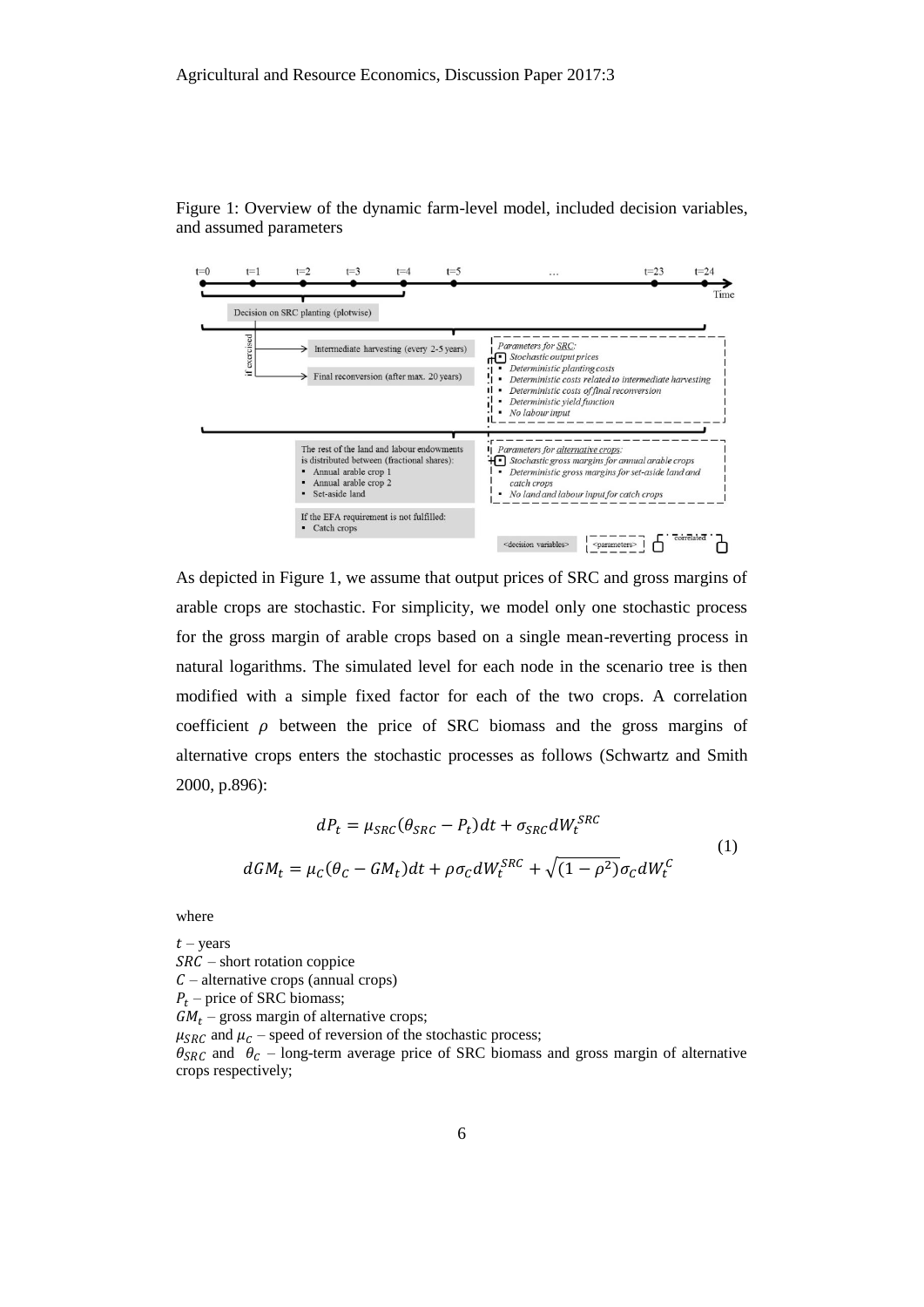

Figure 1: Overview of the dynamic farm-level model, included decision variables, and assumed parameters

As depicted in Figure 1, we assume that output prices of SRC and gross margins of arable crops are stochastic. For simplicity, we model only one stochastic process for the gross margin of arable crops based on a single mean-reverting process in natural logarithms. The simulated level for each node in the scenario tree is then modified with a simple fixed factor for each of the two crops. A correlation coefficient  $\rho$  between the price of SRC biomass and the gross margins of alternative crops enters the stochastic processes as follows (Schwartz and Smith 2000, p.896):

$$
dP_t = \mu_{SRC}(\theta_{SRC} - P_t)dt + \sigma_{SRC}dW_t^{SRC}
$$
  

$$
dGM_t = \mu_c(\theta_c - GM_t)dt + \rho\sigma_c dW_t^{SRC} + \sqrt{(1 - \rho^2)}\sigma_c dW_t^C
$$
 (1)

where

 $t$  – years  $SRC$  – short rotation coppice  $C$  – alternative crops (annual crops)  $P_t$  – price of SRC biomass;  $GM_t$  – gross margin of alternative crops;  $\mu_{SRC}$  and  $\mu_C$  – speed of reversion of the stochastic process;  $\theta_{SRC}$  and  $\theta_C$  – long-term average price of SRC biomass and gross margin of alternative crops respectively;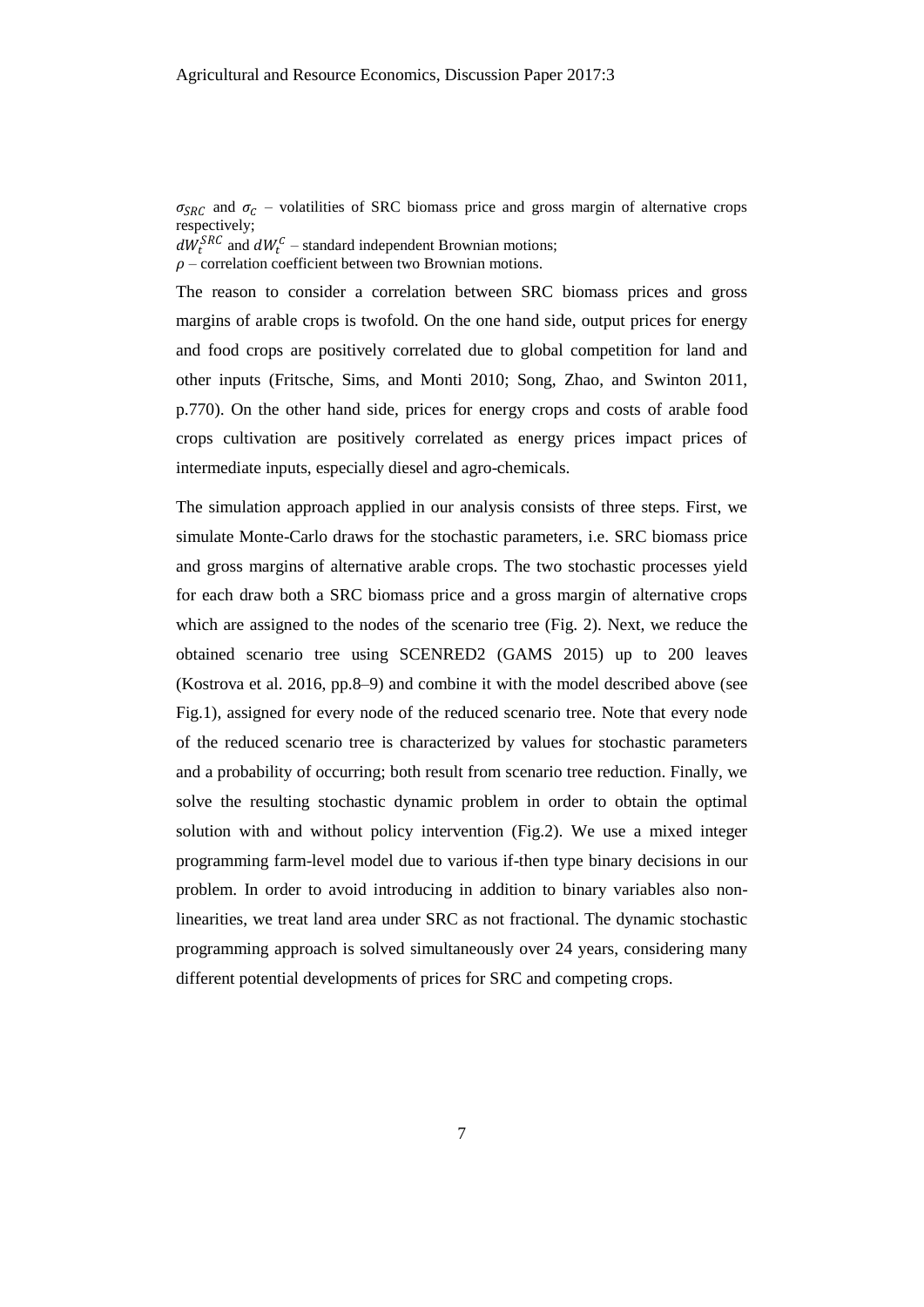$\sigma_{SRC}$  and  $\sigma_C$  – volatilities of SRC biomass price and gross margin of alternative crops respectively;

 $dW_t^{SRC}$  and  $dW_t^{C}$  – standard independent Brownian motions;

 $\rho$  – correlation coefficient between two Brownian motions.

The reason to consider a correlation between SRC biomass prices and gross margins of arable crops is twofold. On the one hand side, output prices for energy and food crops are positively correlated due to global competition for land and other inputs (Fritsche, Sims, and Monti 2010; Song, Zhao, and Swinton 2011, p.770). On the other hand side, prices for energy crops and costs of arable food crops cultivation are positively correlated as energy prices impact prices of intermediate inputs, especially diesel and agro-chemicals.

The simulation approach applied in our analysis consists of three steps. First, we simulate Monte-Carlo draws for the stochastic parameters, i.e. SRC biomass price and gross margins of alternative arable crops. The two stochastic processes yield for each draw both a SRC biomass price and a gross margin of alternative crops which are assigned to the nodes of the scenario tree (Fig. 2). Next, we reduce the obtained scenario tree using SCENRED2 (GAMS 2015) up to 200 leaves (Kostrova et al. 2016, pp.8–9) and combine it with the model described above (see Fig.1), assigned for every node of the reduced scenario tree. Note that every node of the reduced scenario tree is characterized by values for stochastic parameters and a probability of occurring; both result from scenario tree reduction. Finally, we solve the resulting stochastic dynamic problem in order to obtain the optimal solution with and without policy intervention (Fig.2). We use a mixed integer programming farm-level model due to various if-then type binary decisions in our problem. In order to avoid introducing in addition to binary variables also nonlinearities, we treat land area under SRC as not fractional. The dynamic stochastic programming approach is solved simultaneously over 24 years, considering many different potential developments of prices for SRC and competing crops.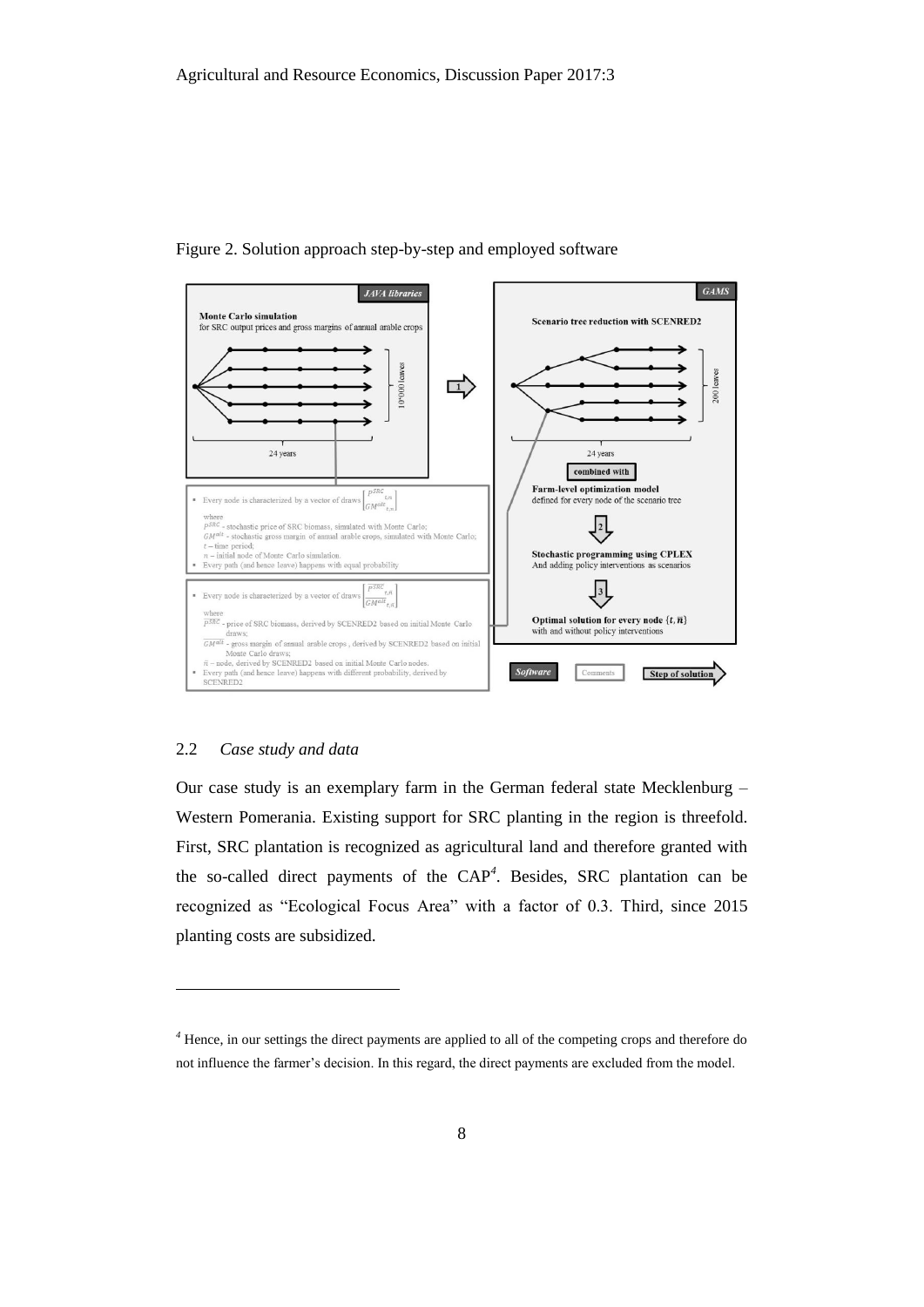

Figure 2. Solution approach step-by-step and employed software

# 2.2 *Case study and data*

l

Our case study is an exemplary farm in the German federal state Mecklenburg – Western Pomerania. Existing support for SRC planting in the region is threefold. First, SRC plantation is recognized as agricultural land and therefore granted with the so-called direct payments of the CAP*<sup>4</sup>* . Besides, SRC plantation can be recognized as "Ecological Focus Area" with a factor of 0.3. Third, since 2015 planting costs are subsidized.

*<sup>4</sup>* Hence, in our settings the direct payments are applied to all of the competing crops and therefore do not influence the farmer's decision. In this regard, the direct payments are excluded from the model.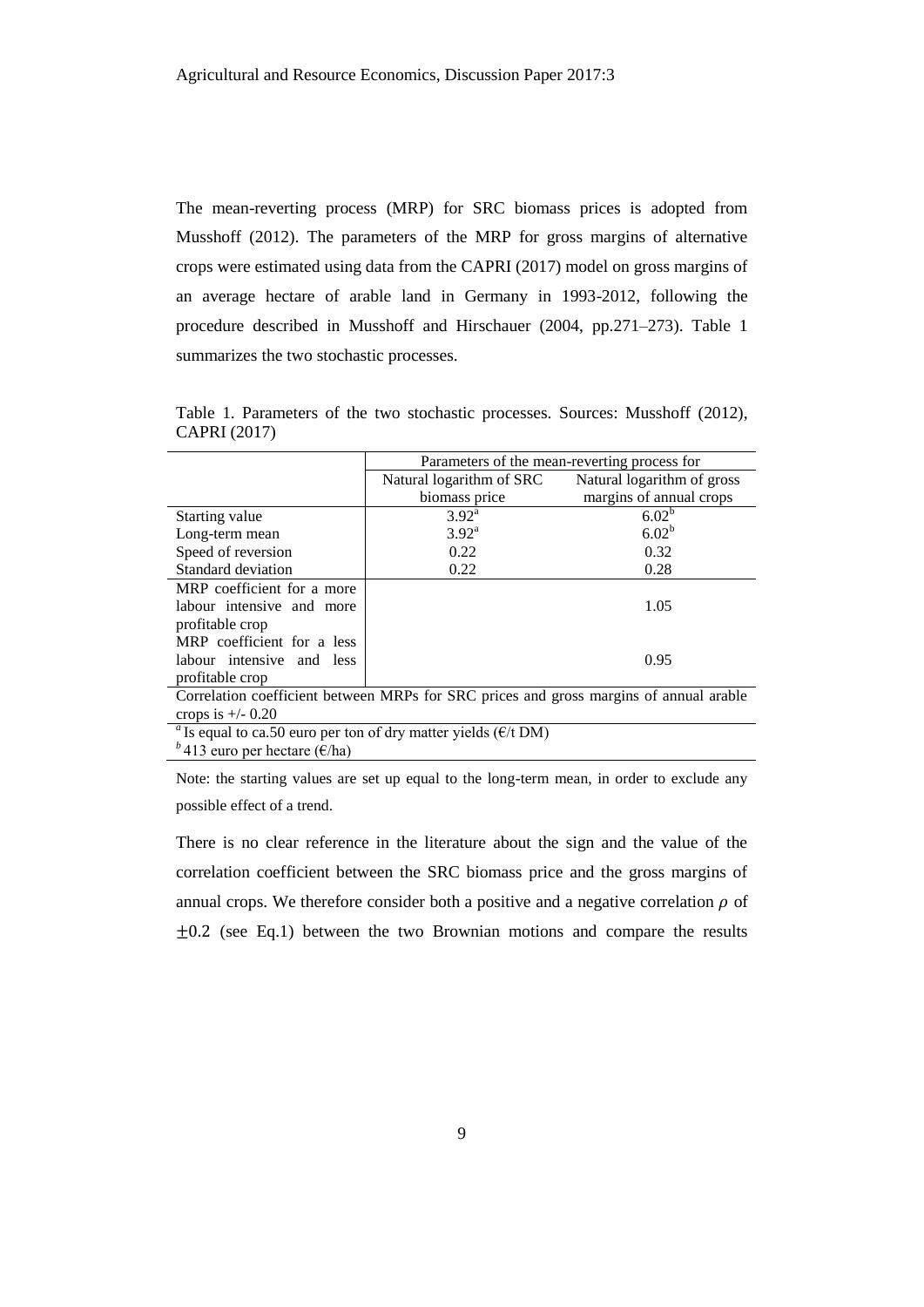The mean-reverting process (MRP) for SRC biomass prices is adopted from Musshoff (2012). The parameters of the MRP for gross margins of alternative crops were estimated using data from the CAPRI (2017) model on gross margins of an average hectare of arable land in Germany in 1993-2012, following the procedure described in Musshoff and Hirschauer (2004, pp.271–273). Table 1 summarizes the two stochastic processes.

|                            |                          | Parameters of the mean-reverting process for |
|----------------------------|--------------------------|----------------------------------------------|
|                            | Natural logarithm of SRC | Natural logarithm of gross                   |
|                            | biomass price            | margins of annual crops                      |
| Starting value             | $3.92^{\rm a}$           | 6.02 <sup>b</sup>                            |
| Long-term mean             | $3.92^{\text{a}}$        | $6.02^b$                                     |
| Speed of reversion         | 0.22                     | 0.32                                         |
| Standard deviation         | 0.22                     | 0.28                                         |
| MRP coefficient for a more |                          |                                              |
| labour intensive and more  |                          | 1.05                                         |
| profitable crop            |                          |                                              |
| MRP coefficient for a less |                          |                                              |
| labour intensive and less  |                          | 0.95                                         |
| profitable crop            |                          |                                              |

Table 1. Parameters of the two stochastic processes. Sources: Musshoff (2012), CAPRI (2017)

Correlation coefficient between MRPs for SRC prices and gross margins of annual arable crops is  $+/- 0.20$ 

<sup>*a*</sup> Is equal to ca.50 euro per ton of dry matter yields ( $E/t$  DM)

*b*<sup>4</sup>13 euro per hectare (€/ha)

Note: the starting values are set up equal to the long-term mean, in order to exclude any possible effect of a trend.

There is no clear reference in the literature about the sign and the value of the correlation coefficient between the SRC biomass price and the gross margins of annual crops. We therefore consider both a positive and a negative correlation  $\rho$  of  $\pm 0.2$  (see Eq.1) between the two Brownian motions and compare the results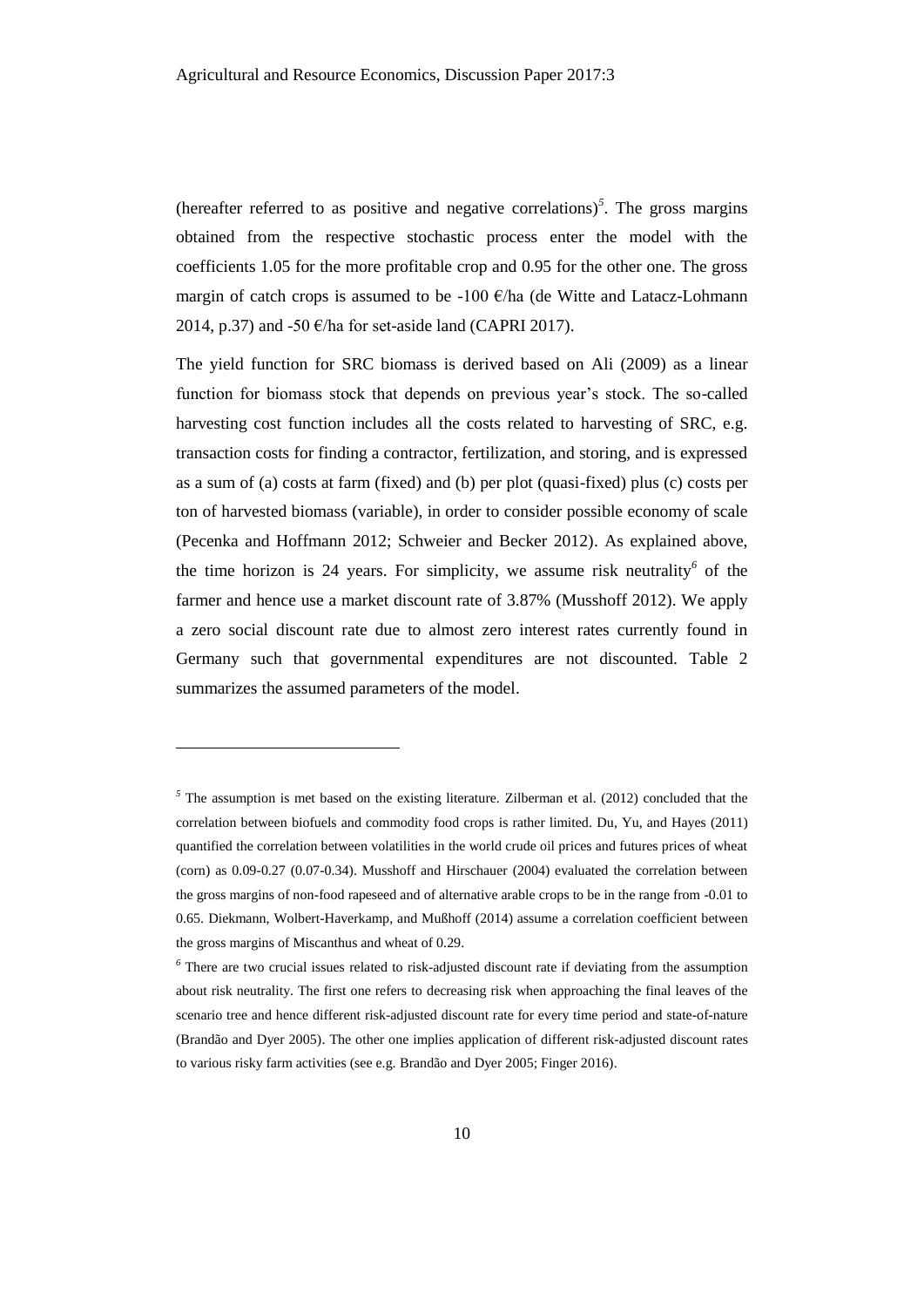(hereafter referred to as positive and negative correlations)*<sup>5</sup>* . The gross margins obtained from the respective stochastic process enter the model with the coefficients 1.05 for the more profitable crop and 0.95 for the other one. The gross margin of catch crops is assumed to be -100  $\epsilon$ /ha (de Witte and Latacz-Lohmann 2014, p.37) and -50  $\epsilon$ /ha for set-aside land (CAPRI 2017).

The yield function for SRC biomass is derived based on Ali (2009) as a linear function for biomass stock that depends on previous year's stock. The so-called harvesting cost function includes all the costs related to harvesting of SRC, e.g. transaction costs for finding a contractor, fertilization, and storing, and is expressed as a sum of (a) costs at farm (fixed) and (b) per plot (quasi-fixed) plus (c) costs per ton of harvested biomass (variable), in order to consider possible economy of scale (Pecenka and Hoffmann 2012; Schweier and Becker 2012). As explained above, the time horizon is 24 years. For simplicity, we assume risk neutrality<sup>6</sup> of the farmer and hence use a market discount rate of 3.87% (Musshoff 2012). We apply a zero social discount rate due to almost zero interest rates currently found in Germany such that governmental expenditures are not discounted. Table 2 summarizes the assumed parameters of the model.

l

<sup>&</sup>lt;sup>5</sup> The assumption is met based on the existing literature. Zilberman et al. (2012) concluded that the correlation between biofuels and commodity food crops is rather limited. Du, Yu, and Hayes (2011) quantified the correlation between volatilities in the world crude oil prices and futures prices of wheat (corn) as 0.09-0.27 (0.07-0.34). Musshoff and Hirschauer (2004) evaluated the correlation between the gross margins of non-food rapeseed and of alternative arable crops to be in the range from -0.01 to 0.65. Diekmann, Wolbert-Haverkamp, and Mußhoff (2014) assume a correlation coefficient between the gross margins of Miscanthus and wheat of 0.29.

*<sup>6</sup>* There are two crucial issues related to risk-adjusted discount rate if deviating from the assumption about risk neutrality. The first one refers to decreasing risk when approaching the final leaves of the scenario tree and hence different risk-adjusted discount rate for every time period and state-of-nature (Brandão and Dyer 2005). The other one implies application of different risk-adjusted discount rates to various risky farm activities (see e.g. Brandão and Dyer 2005; Finger 2016).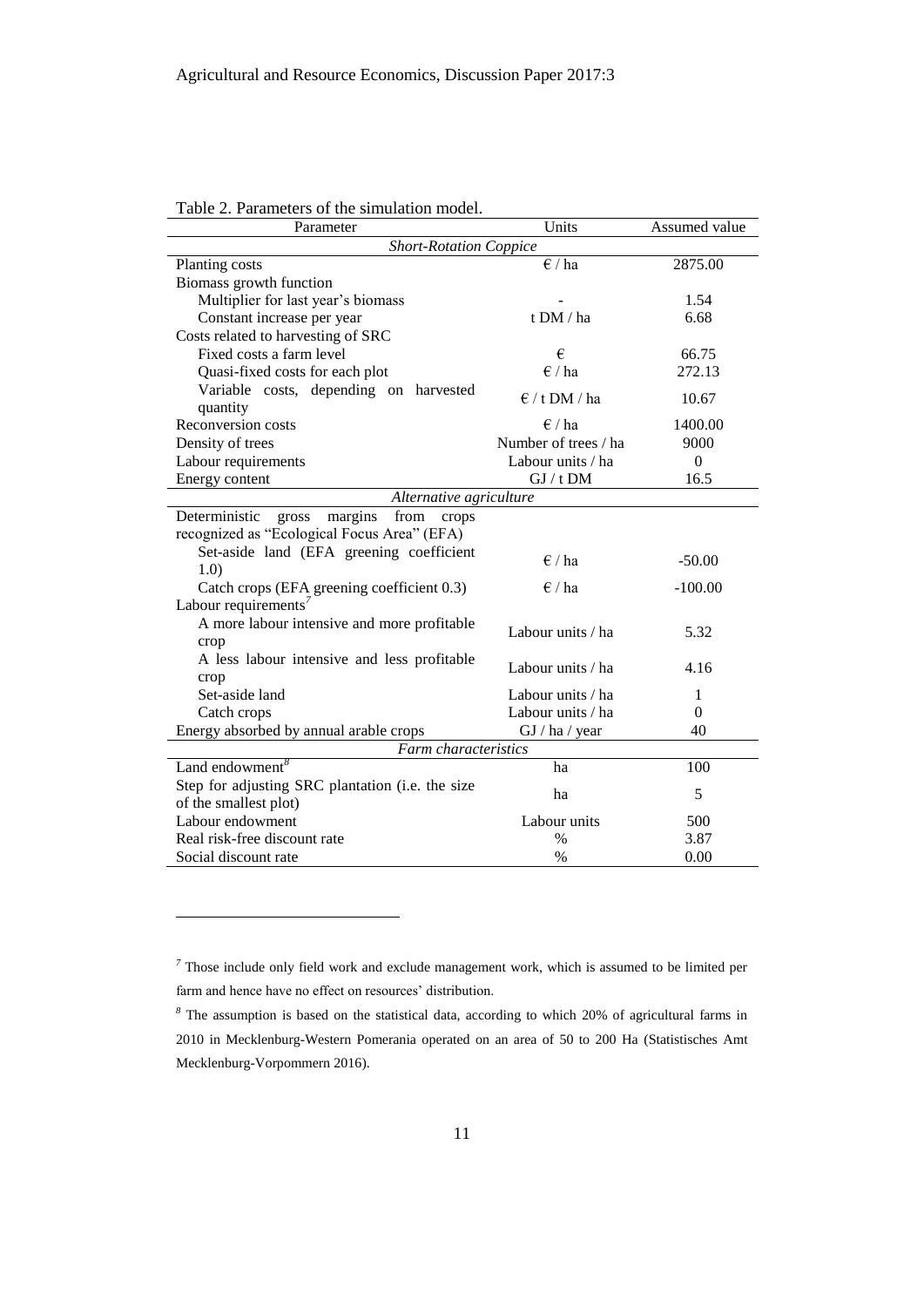| Parameter                                          | Units                           | Assumed value |
|----------------------------------------------------|---------------------------------|---------------|
| <b>Short-Rotation Coppice</b>                      |                                 |               |
| Planting costs                                     | $\in$ / ha                      | 2875.00       |
| Biomass growth function                            |                                 |               |
| Multiplier for last year's biomass                 |                                 | 1.54          |
| Constant increase per year                         | t DM / ha                       | 6.68          |
| Costs related to harvesting of SRC                 |                                 |               |
| Fixed costs a farm level                           | €                               | 66.75         |
| Quasi-fixed costs for each plot                    | $\epsilon$ / ha                 | 272.13        |
| Variable costs, depending on harvested             |                                 |               |
| quantity                                           | $\epsilon$ / t DM / ha          | 10.67         |
| Reconversion costs                                 | $\epsilon$ / ha                 | 1400.00       |
| Density of trees                                   | Number of trees / ha            | 9000          |
| Labour requirements                                | Labour units / ha               | $\mathbf{0}$  |
| Energy content                                     | $\mathrm{GJ}$ / t $\mathrm{DM}$ | 16.5          |
| Alternative agriculture                            |                                 |               |
| Deterministic<br>gross<br>margins<br>from<br>crops |                                 |               |
| recognized as "Ecological Focus Area" (EFA)        |                                 |               |
| Set-aside land (EFA greening coefficient           | $\epsilon$ / ha                 |               |
| 1.0)                                               |                                 | $-50.00$      |
| Catch crops (EFA greening coefficient 0.3)         | $\epsilon$ / ha                 | $-100.00$     |
| Labour requirements <sup>7</sup>                   |                                 |               |
| A more labour intensive and more profitable        | Labour units / ha               | 5.32          |
| crop                                               |                                 |               |
| A less labour intensive and less profitable        | Labour units / ha               | 4.16          |
| crop                                               |                                 |               |
| Set-aside land                                     | Labour units / ha               | 1             |
| Catch crops                                        | Labour units / ha               | $\Omega$      |
| Energy absorbed by annual arable crops             | GI / ha / year                  | 40            |
| <b>Farm</b> characteristics                        |                                 |               |
| Land endowment <sup>8</sup>                        | ha                              | 100           |
| Step for adjusting SRC plantation (i.e. the size   | ha                              | 5             |
| of the smallest plot)                              |                                 |               |
| Labour endowment                                   | Labour units                    | 500           |
| Real risk-free discount rate                       | $\%$                            | 3.87          |
| Social discount rate                               | $\%$                            | 0.00          |

| Table 2. Parameters of the simulation model. |  |  |  |
|----------------------------------------------|--|--|--|
|----------------------------------------------|--|--|--|

l

<sup>&</sup>lt;sup>7</sup> Those include only field work and exclude management work, which is assumed to be limited per farm and hence have no effect on resources' distribution.

*<sup>8</sup>* The assumption is based on the statistical data, according to which 20% of agricultural farms in 2010 in Mecklenburg-Western Pomerania operated on an area of 50 to 200 Ha (Statistisches Amt Mecklenburg-Vorpommern 2016).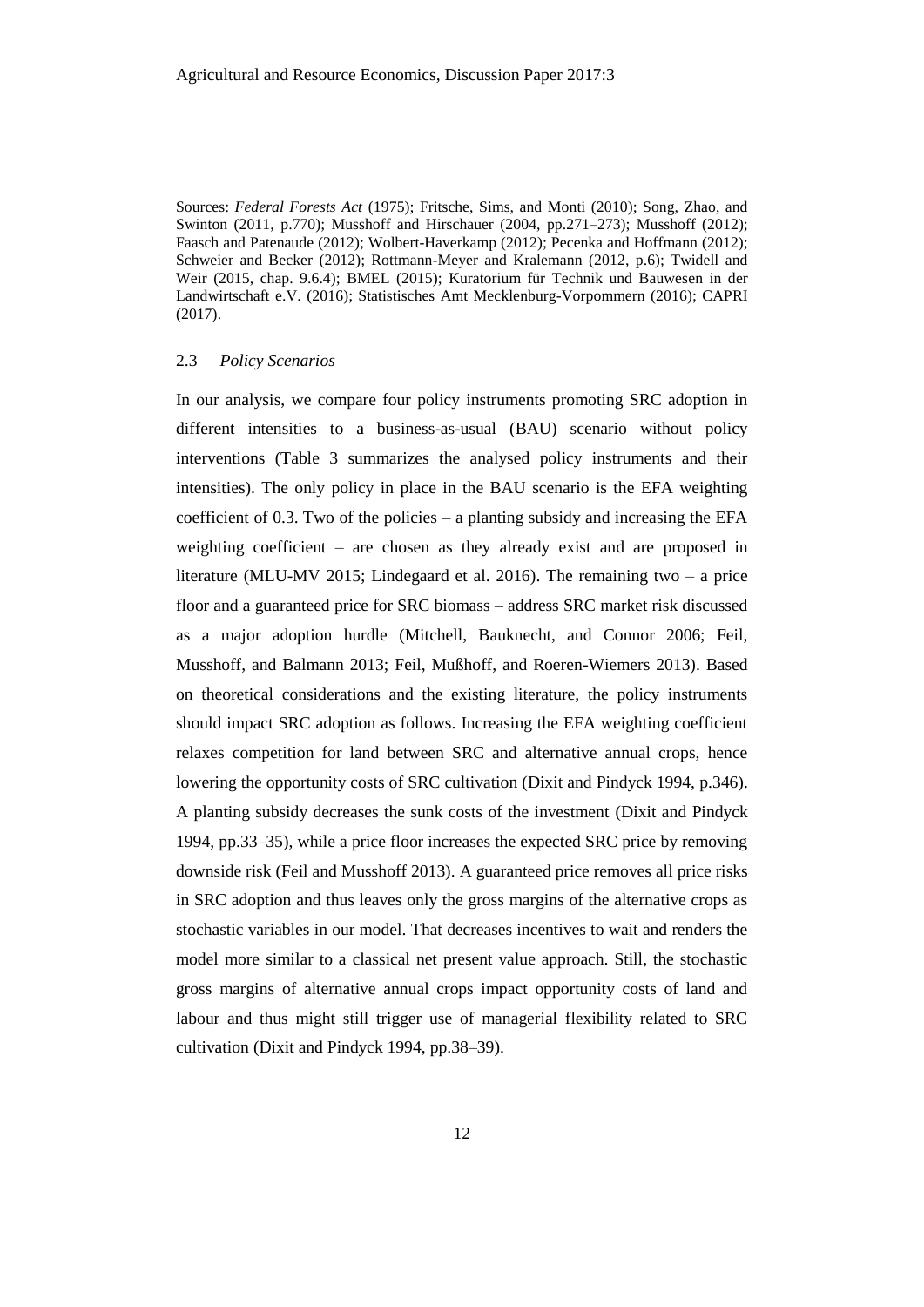Sources: *Federal Forests Act* (1975); Fritsche, Sims, and Monti (2010); Song, Zhao, and Swinton (2011, p.770); Musshoff and Hirschauer (2004, pp.271–273); Musshoff (2012); Faasch and Patenaude (2012); Wolbert-Haverkamp (2012); Pecenka and Hoffmann (2012); Schweier and Becker (2012); Rottmann-Meyer and Kralemann (2012, p.6); Twidell and Weir (2015, chap. 9.6.4); BMEL (2015); Kuratorium für Technik und Bauwesen in der Landwirtschaft e.V. (2016); Statistisches Amt Mecklenburg-Vorpommern (2016); CAPRI (2017).

#### 2.3 *Policy Scenarios*

In our analysis, we compare four policy instruments promoting SRC adoption in different intensities to a business-as-usual (BAU) scenario without policy interventions (Table 3 summarizes the analysed policy instruments and their intensities). The only policy in place in the BAU scenario is the EFA weighting coefficient of 0.3. Two of the policies  $-$  a planting subsidy and increasing the EFA weighting coefficient – are chosen as they already exist and are proposed in literature (MLU-MV 2015; Lindegaard et al. 2016). The remaining two – a price floor and a guaranteed price for SRC biomass – address SRC market risk discussed as a major adoption hurdle (Mitchell, Bauknecht, and Connor 2006; Feil, Musshoff, and Balmann 2013; Feil, Mußhoff, and Roeren-Wiemers 2013). Based on theoretical considerations and the existing literature, the policy instruments should impact SRC adoption as follows. Increasing the EFA weighting coefficient relaxes competition for land between SRC and alternative annual crops, hence lowering the opportunity costs of SRC cultivation (Dixit and Pindyck 1994, p.346). A planting subsidy decreases the sunk costs of the investment (Dixit and Pindyck 1994, pp.33–35), while a price floor increases the expected SRC price by removing downside risk (Feil and Musshoff 2013). A guaranteed price removes all price risks in SRC adoption and thus leaves only the gross margins of the alternative crops as stochastic variables in our model. That decreases incentives to wait and renders the model more similar to a classical net present value approach. Still, the stochastic gross margins of alternative annual crops impact opportunity costs of land and labour and thus might still trigger use of managerial flexibility related to SRC cultivation (Dixit and Pindyck 1994, pp.38–39).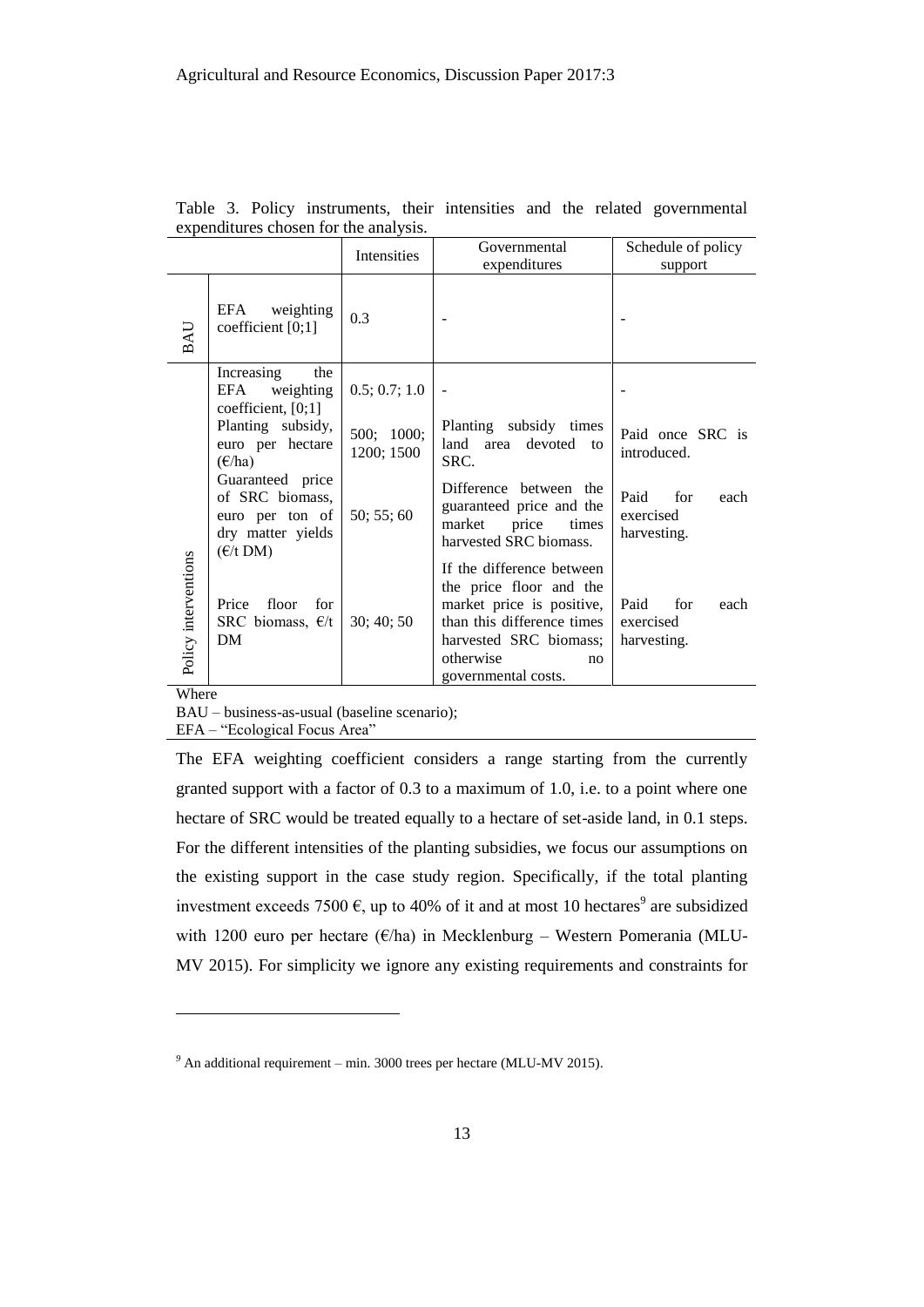|                      |                                                                                                         | Intensities              | Governmental<br>expenditures                                                                                                                                                        | Schedule of policy<br>support                   |  |  |
|----------------------|---------------------------------------------------------------------------------------------------------|--------------------------|-------------------------------------------------------------------------------------------------------------------------------------------------------------------------------------|-------------------------------------------------|--|--|
| BAU                  | EFA<br>weighting<br>coefficient $[0;1]$                                                                 | 0.3                      |                                                                                                                                                                                     |                                                 |  |  |
|                      | Increasing<br>the<br>EFA<br>weighting<br>coefficient, $[0;1]$                                           | 0.5; 0.7; 1.0            |                                                                                                                                                                                     |                                                 |  |  |
|                      | Planting subsidy,<br>euro per hectare<br>$(\epsilon$ /ha)                                               | 500; 1000;<br>1200; 1500 | Planting subsidy times<br>land<br>area<br>devoted<br>to<br>SRC.                                                                                                                     | Paid once SRC is<br>introduced.                 |  |  |
|                      | Guaranteed price<br>of SRC biomass,<br>euro per ton of<br>dry matter yields<br>$(\epsilon/t \text{DM})$ | 50; 55; 60               | Difference between the<br>guaranteed price and the<br>price<br>market<br>times<br>harvested SRC biomass.                                                                            | Paid<br>for<br>each<br>exercised<br>harvesting. |  |  |
| Policy interventions | Price<br>floor<br>for<br>SRC biomass, $E/t$<br>DM                                                       | 30; 40; 50               | If the difference between<br>the price floor and the<br>market price is positive,<br>than this difference times<br>harvested SRC biomass;<br>otherwise<br>no<br>governmental costs. | Paid<br>for<br>each<br>exercised<br>harvesting. |  |  |

Table 3. Policy instruments, their intensities and the related governmental expenditures chosen for the analysis.

Where

 $\overline{a}$ 

BAU – business-as-usual (baseline scenario);

EFA – "Ecological Focus Area"

The EFA weighting coefficient considers a range starting from the currently granted support with a factor of 0.3 to a maximum of 1.0, i.e. to a point where one hectare of SRC would be treated equally to a hectare of set-aside land, in 0.1 steps. For the different intensities of the planting subsidies, we focus our assumptions on the existing support in the case study region. Specifically, if the total planting investment exceeds 7500  $\epsilon$ , up to 40% of it and at most 10 hectares<sup>9</sup> are subsidized with 1200 euro per hectare ( $\epsilon$ /ha) in Mecklenburg – Western Pomerania (MLU-MV 2015). For simplicity we ignore any existing requirements and constraints for

*<sup>9</sup>* An additional requirement – min. 3000 trees per hectare (MLU-MV 2015).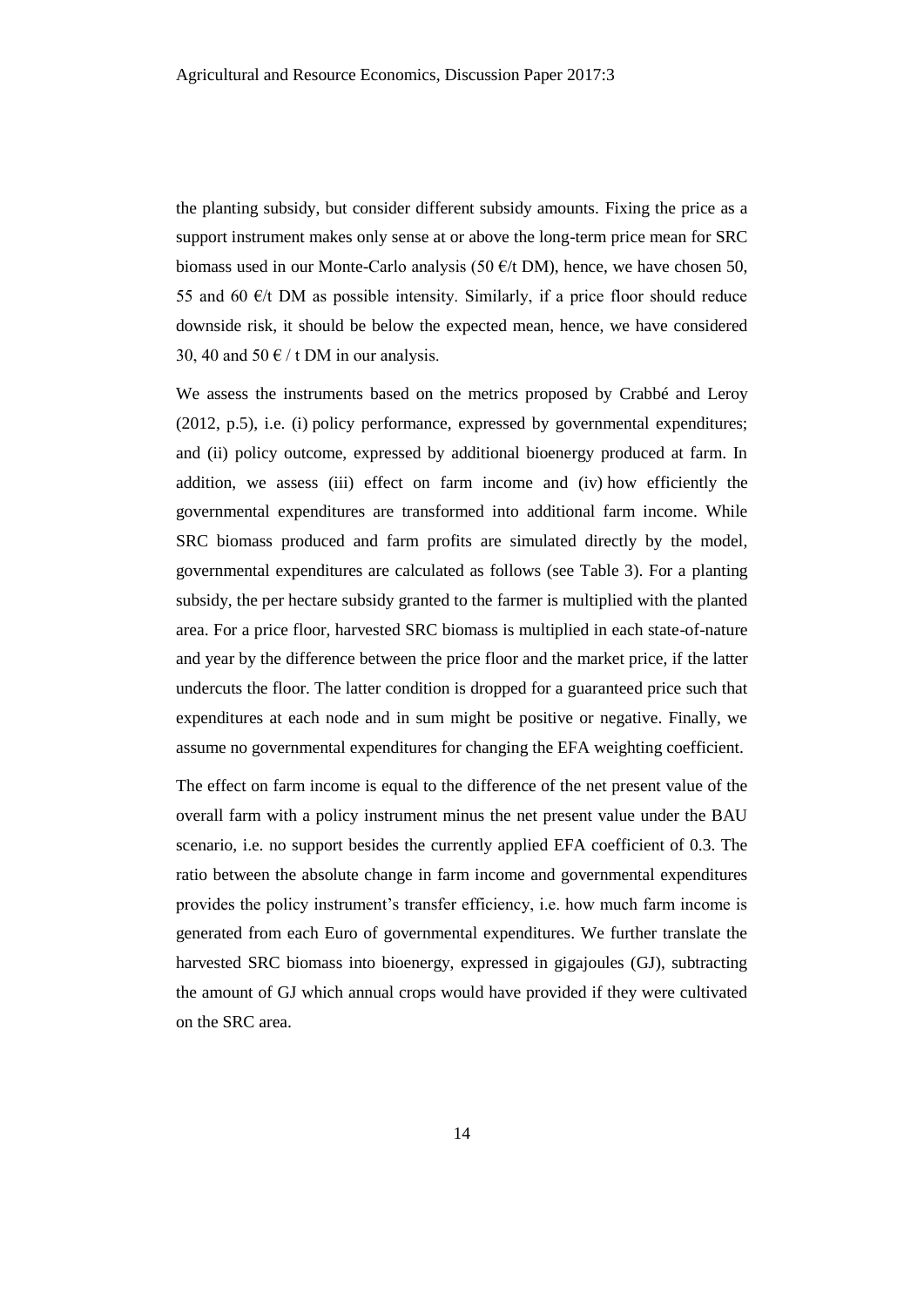the planting subsidy, but consider different subsidy amounts. Fixing the price as a support instrument makes only sense at or above the long-term price mean for SRC biomass used in our Monte-Carlo analysis (50  $\epsilon$ /t DM), hence, we have chosen 50, 55 and 60  $\epsilon$ /t DM as possible intensity. Similarly, if a price floor should reduce downside risk, it should be below the expected mean, hence, we have considered 30, 40 and 50  $\epsilon$  / t DM in our analysis.

We assess the instruments based on the metrics proposed by Crabbé and Leroy (2012, p.5), i.e. (i) policy performance, expressed by governmental expenditures; and (ii) policy outcome, expressed by additional bioenergy produced at farm. In addition, we assess (iii) effect on farm income and (iv) how efficiently the governmental expenditures are transformed into additional farm income. While SRC biomass produced and farm profits are simulated directly by the model, governmental expenditures are calculated as follows (see Table 3). For a planting subsidy, the per hectare subsidy granted to the farmer is multiplied with the planted area. For a price floor, harvested SRC biomass is multiplied in each state-of-nature and year by the difference between the price floor and the market price, if the latter undercuts the floor. The latter condition is dropped for a guaranteed price such that expenditures at each node and in sum might be positive or negative. Finally, we assume no governmental expenditures for changing the EFA weighting coefficient.

The effect on farm income is equal to the difference of the net present value of the overall farm with a policy instrument minus the net present value under the BAU scenario, i.e. no support besides the currently applied EFA coefficient of 0.3. The ratio between the absolute change in farm income and governmental expenditures provides the policy instrument's transfer efficiency, i.e. how much farm income is generated from each Euro of governmental expenditures. We further translate the harvested SRC biomass into bioenergy, expressed in gigajoules (GJ), subtracting the amount of GJ which annual crops would have provided if they were cultivated on the SRC area.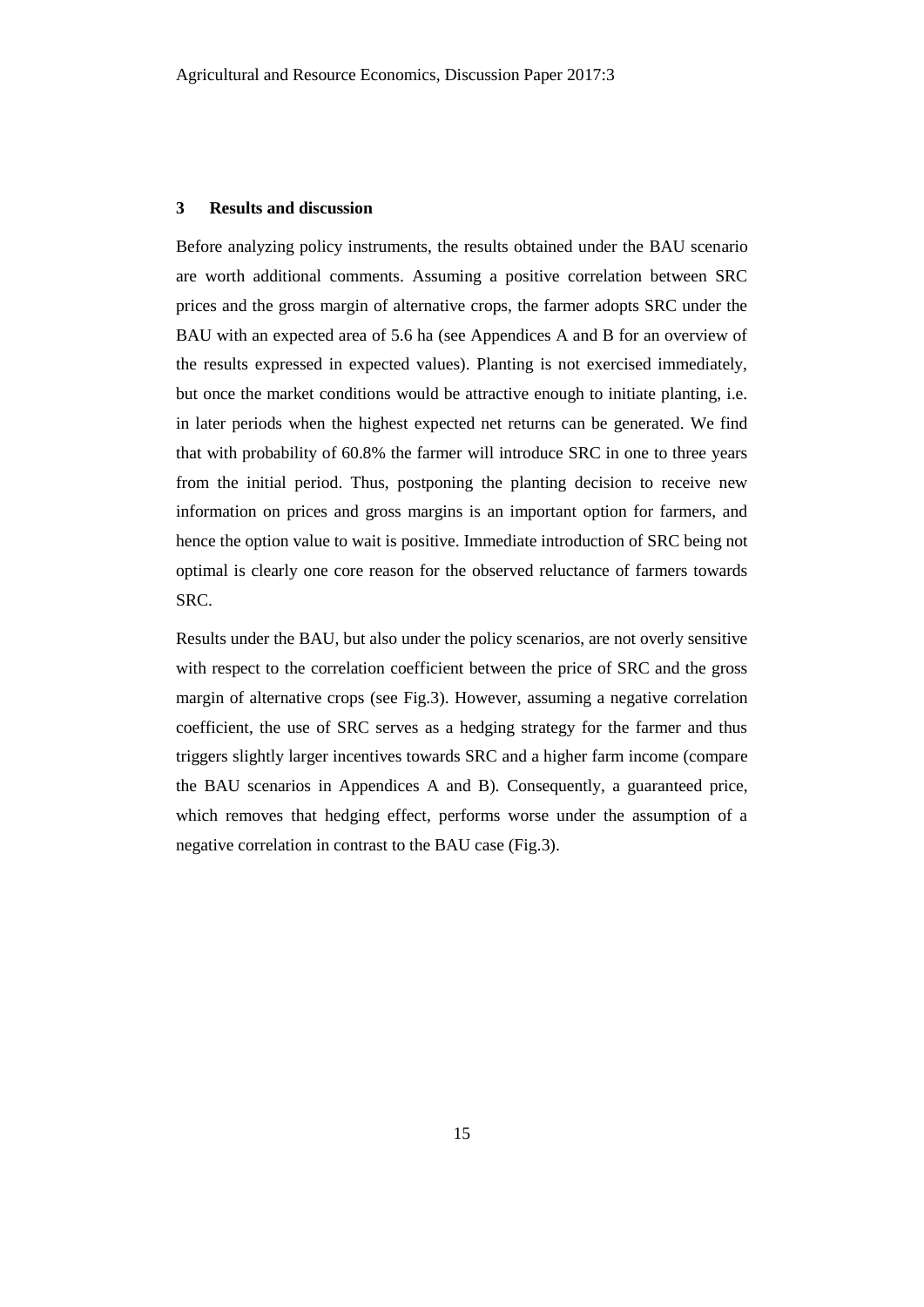## **3 Results and discussion**

Before analyzing policy instruments, the results obtained under the BAU scenario are worth additional comments. Assuming a positive correlation between SRC prices and the gross margin of alternative crops, the farmer adopts SRC under the BAU with an expected area of 5.6 ha (see Appendices A and B for an overview of the results expressed in expected values). Planting is not exercised immediately, but once the market conditions would be attractive enough to initiate planting, i.e. in later periods when the highest expected net returns can be generated. We find that with probability of 60.8% the farmer will introduce SRC in one to three years from the initial period. Thus, postponing the planting decision to receive new information on prices and gross margins is an important option for farmers, and hence the option value to wait is positive. Immediate introduction of SRC being not optimal is clearly one core reason for the observed reluctance of farmers towards SRC.

Results under the BAU, but also under the policy scenarios, are not overly sensitive with respect to the correlation coefficient between the price of SRC and the gross margin of alternative crops (see Fig.3). However, assuming a negative correlation coefficient, the use of SRC serves as a hedging strategy for the farmer and thus triggers slightly larger incentives towards SRC and a higher farm income (compare the BAU scenarios in Appendices A and B). Consequently, a guaranteed price, which removes that hedging effect, performs worse under the assumption of a negative correlation in contrast to the BAU case (Fig.3).

15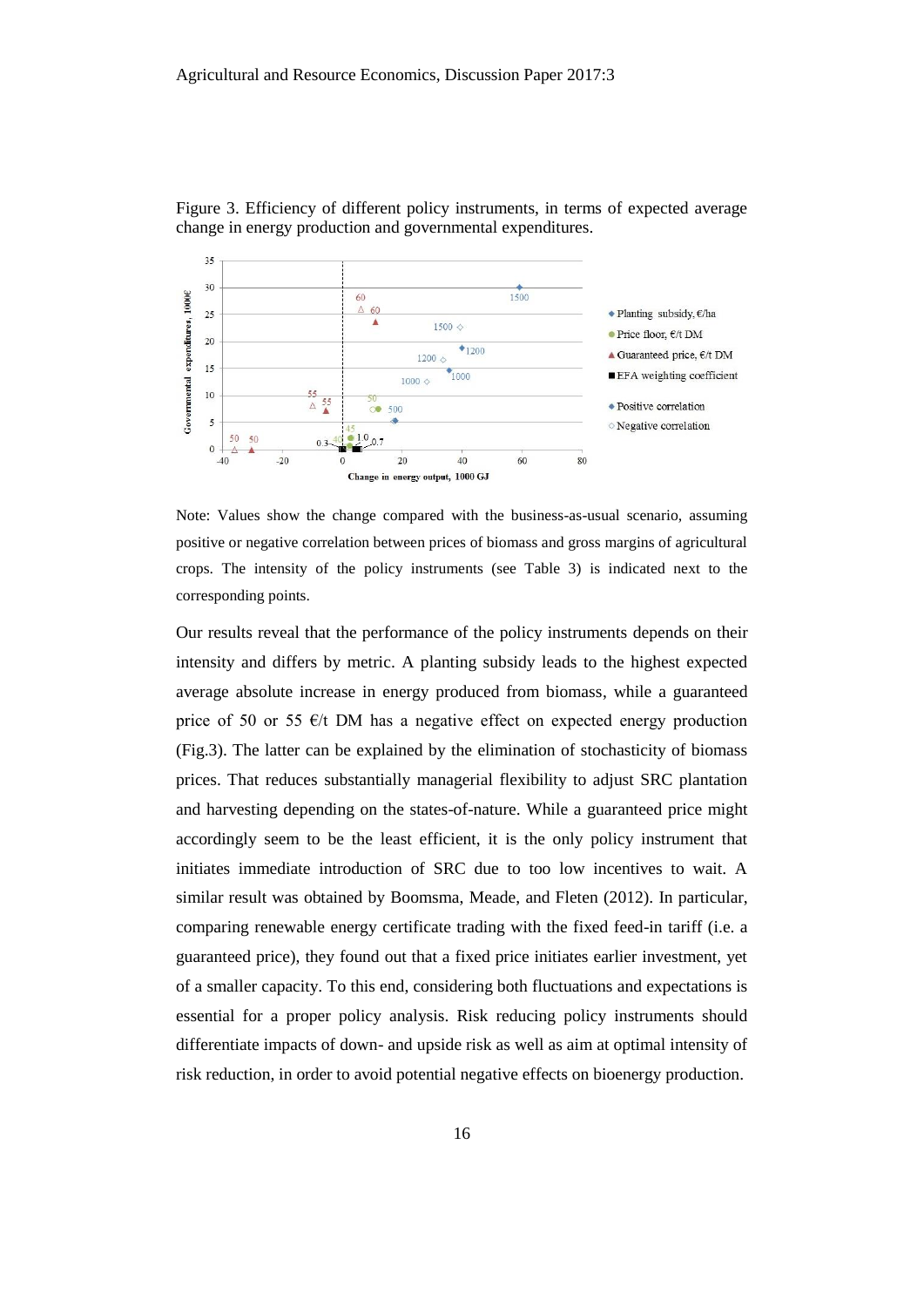

Figure 3. Efficiency of different policy instruments, in terms of expected average change in energy production and governmental expenditures.

Note: Values show the change compared with the business-as-usual scenario, assuming positive or negative correlation between prices of biomass and gross margins of agricultural crops. The intensity of the policy instruments (see Table 3) is indicated next to the corresponding points.

Our results reveal that the performance of the policy instruments depends on their intensity and differs by metric. A planting subsidy leads to the highest expected average absolute increase in energy produced from biomass, while a guaranteed price of 50 or 55  $\epsilon/t$  DM has a negative effect on expected energy production (Fig.3). The latter can be explained by the elimination of stochasticity of biomass prices. That reduces substantially managerial flexibility to adjust SRC plantation and harvesting depending on the states-of-nature. While a guaranteed price might accordingly seem to be the least efficient, it is the only policy instrument that initiates immediate introduction of SRC due to too low incentives to wait. A similar result was obtained by Boomsma, Meade, and Fleten (2012). In particular, comparing renewable energy certificate trading with the fixed feed-in tariff (i.e. a guaranteed price), they found out that a fixed price initiates earlier investment, yet of a smaller capacity. To this end, considering both fluctuations and expectations is essential for a proper policy analysis. Risk reducing policy instruments should differentiate impacts of down- and upside risk as well as aim at optimal intensity of risk reduction, in order to avoid potential negative effects on bioenergy production.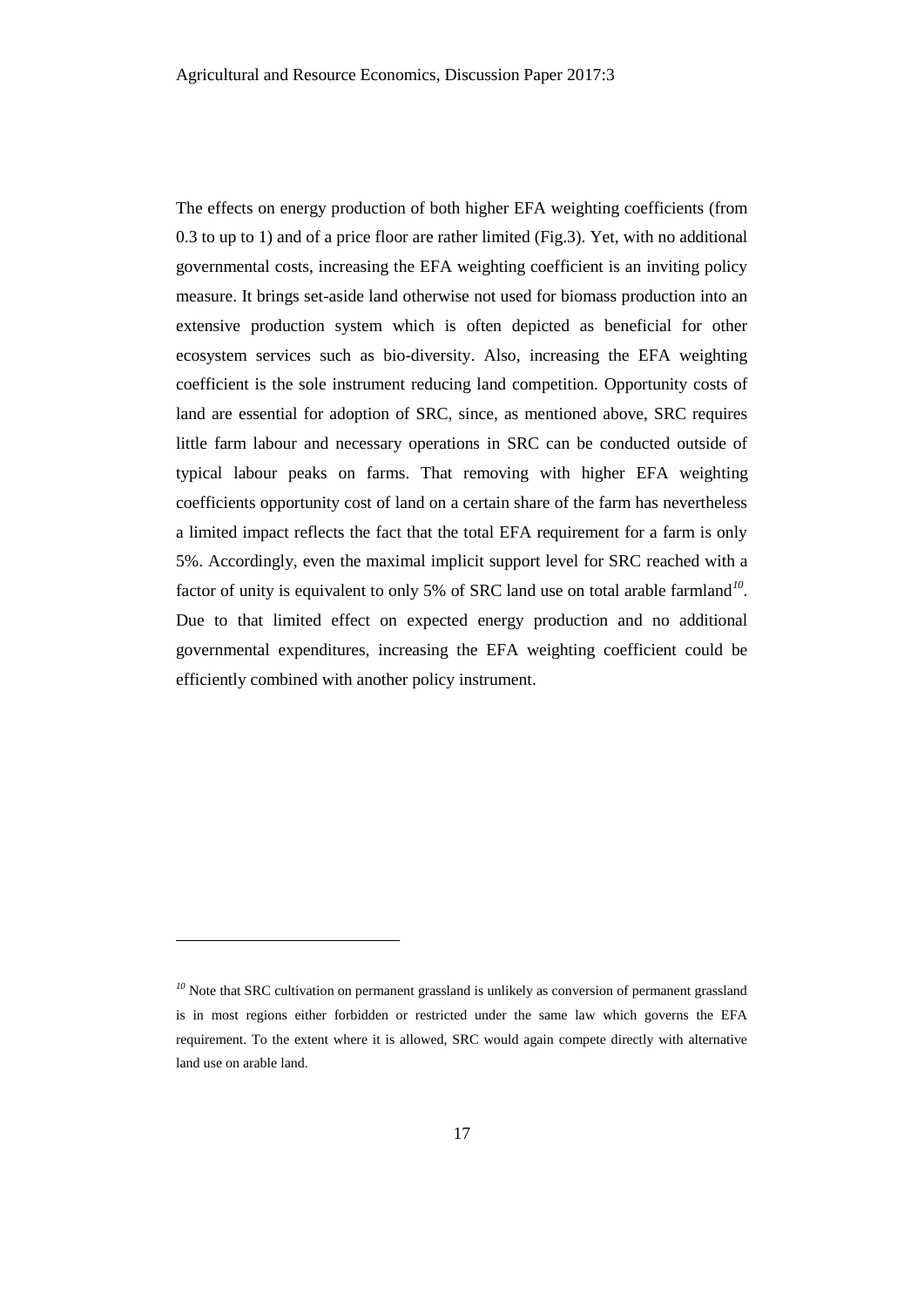The effects on energy production of both higher EFA weighting coefficients (from 0.3 to up to 1) and of a price floor are rather limited (Fig.3). Yet, with no additional governmental costs, increasing the EFA weighting coefficient is an inviting policy measure. It brings set-aside land otherwise not used for biomass production into an extensive production system which is often depicted as beneficial for other ecosystem services such as bio-diversity. Also, increasing the EFA weighting coefficient is the sole instrument reducing land competition. Opportunity costs of land are essential for adoption of SRC, since, as mentioned above, SRC requires little farm labour and necessary operations in SRC can be conducted outside of typical labour peaks on farms. That removing with higher EFA weighting coefficients opportunity cost of land on a certain share of the farm has nevertheless a limited impact reflects the fact that the total EFA requirement for a farm is only 5%. Accordingly, even the maximal implicit support level for SRC reached with a factor of unity is equivalent to only 5% of SRC land use on total arable farmland*<sup>10</sup>* . Due to that limited effect on expected energy production and no additional governmental expenditures, increasing the EFA weighting coefficient could be efficiently combined with another policy instrument.

l

<sup>&</sup>lt;sup>10</sup> Note that SRC cultivation on permanent grassland is unlikely as conversion of permanent grassland is in most regions either forbidden or restricted under the same law which governs the EFA requirement. To the extent where it is allowed, SRC would again compete directly with alternative land use on arable land.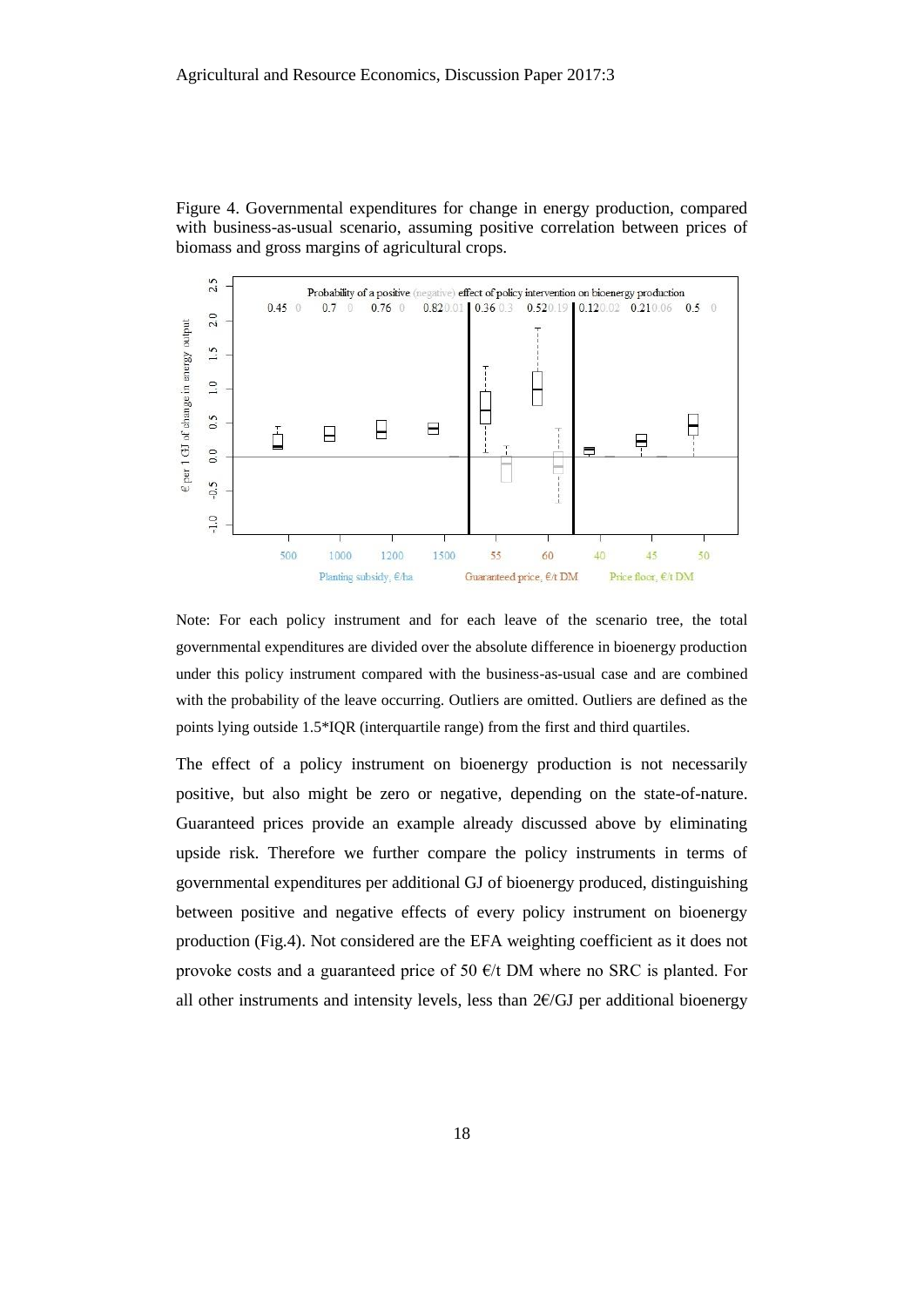Figure 4. Governmental expenditures for change in energy production, compared with business-as-usual scenario, assuming positive correlation between prices of biomass and gross margins of agricultural crops.



Note: For each policy instrument and for each leave of the scenario tree, the total governmental expenditures are divided over the absolute difference in bioenergy production under this policy instrument compared with the business-as-usual case and are combined with the probability of the leave occurring. Outliers are omitted. Outliers are defined as the points lying outside 1.5\*IQR (interquartile range) from the first and third quartiles.

The effect of a policy instrument on bioenergy production is not necessarily positive, but also might be zero or negative, depending on the state-of-nature. Guaranteed prices provide an example already discussed above by eliminating upside risk. Therefore we further compare the policy instruments in terms of governmental expenditures per additional GJ of bioenergy produced, distinguishing between positive and negative effects of every policy instrument on bioenergy production (Fig.4). Not considered are the EFA weighting coefficient as it does not provoke costs and a guaranteed price of 50  $\epsilon$ /t DM where no SRC is planted. For all other instruments and intensity levels, less than  $2\n\t\in$  /GJ per additional bioenergy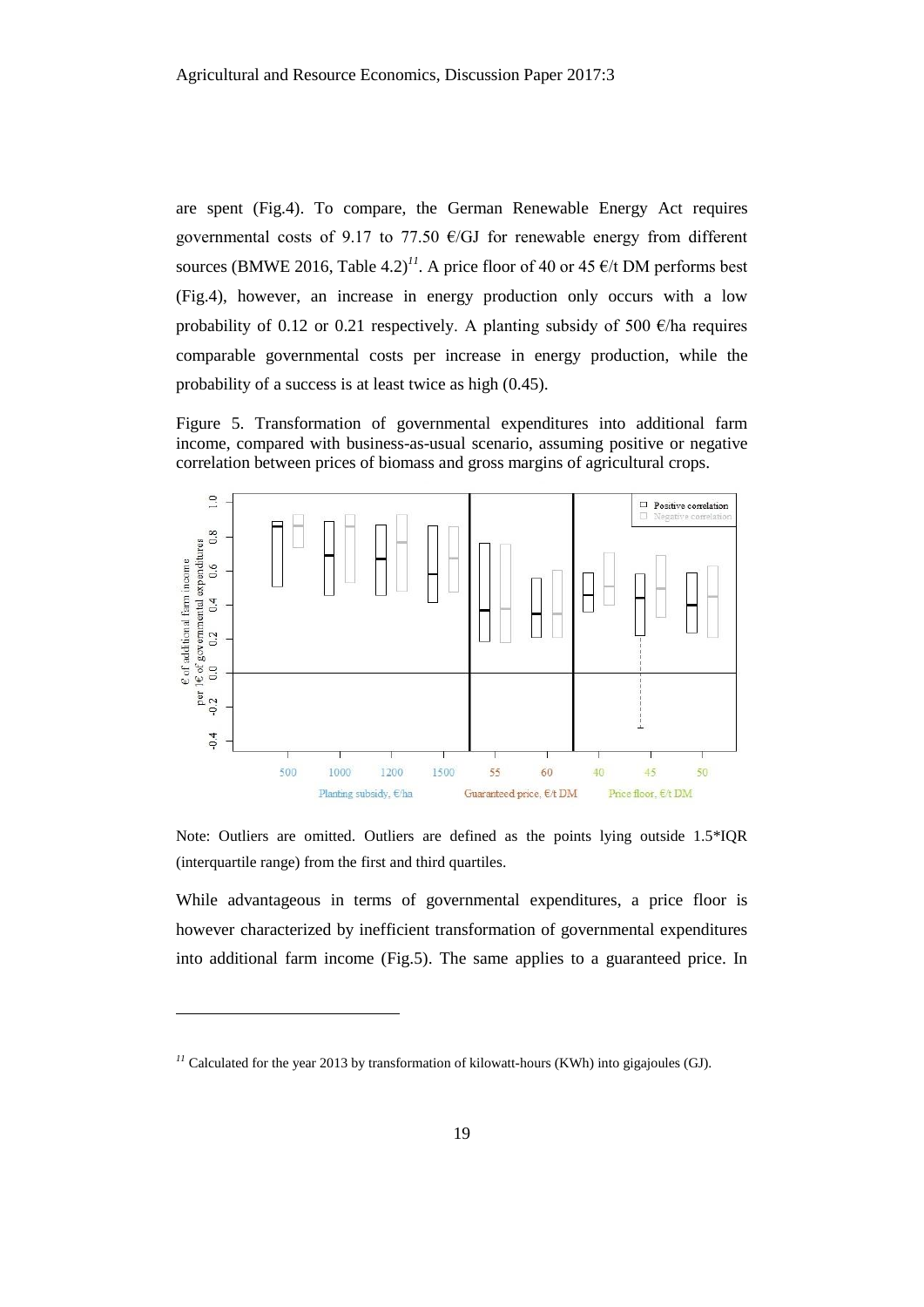are spent (Fig.4). To compare, the German Renewable Energy Act requires governmental costs of 9.17 to 77.50  $\epsilon$ /GJ for renewable energy from different sources (BMWE 2016, Table 4.2)<sup>11</sup>. A price floor of 40 or 45  $\epsilon$ /t DM performs best (Fig.4), however, an increase in energy production only occurs with a low probability of 0.12 or 0.21 respectively. A planting subsidy of 500  $\epsilon$ /ha requires comparable governmental costs per increase in energy production, while the probability of a success is at least twice as high (0.45).

Figure 5. Transformation of governmental expenditures into additional farm income, compared with business-as-usual scenario, assuming positive or negative correlation between prices of biomass and gross margins of agricultural crops.



Note: Outliers are omitted. Outliers are defined as the points lying outside 1.5\*IQR (interquartile range) from the first and third quartiles.

While advantageous in terms of governmental expenditures, a price floor is however characterized by inefficient transformation of governmental expenditures into additional farm income (Fig.5). The same applies to a guaranteed price. In

 $\overline{a}$ 

 $<sup>11</sup>$  Calculated for the year 2013 by transformation of kilowatt-hours (KWh) into gigajoules (GJ).</sup>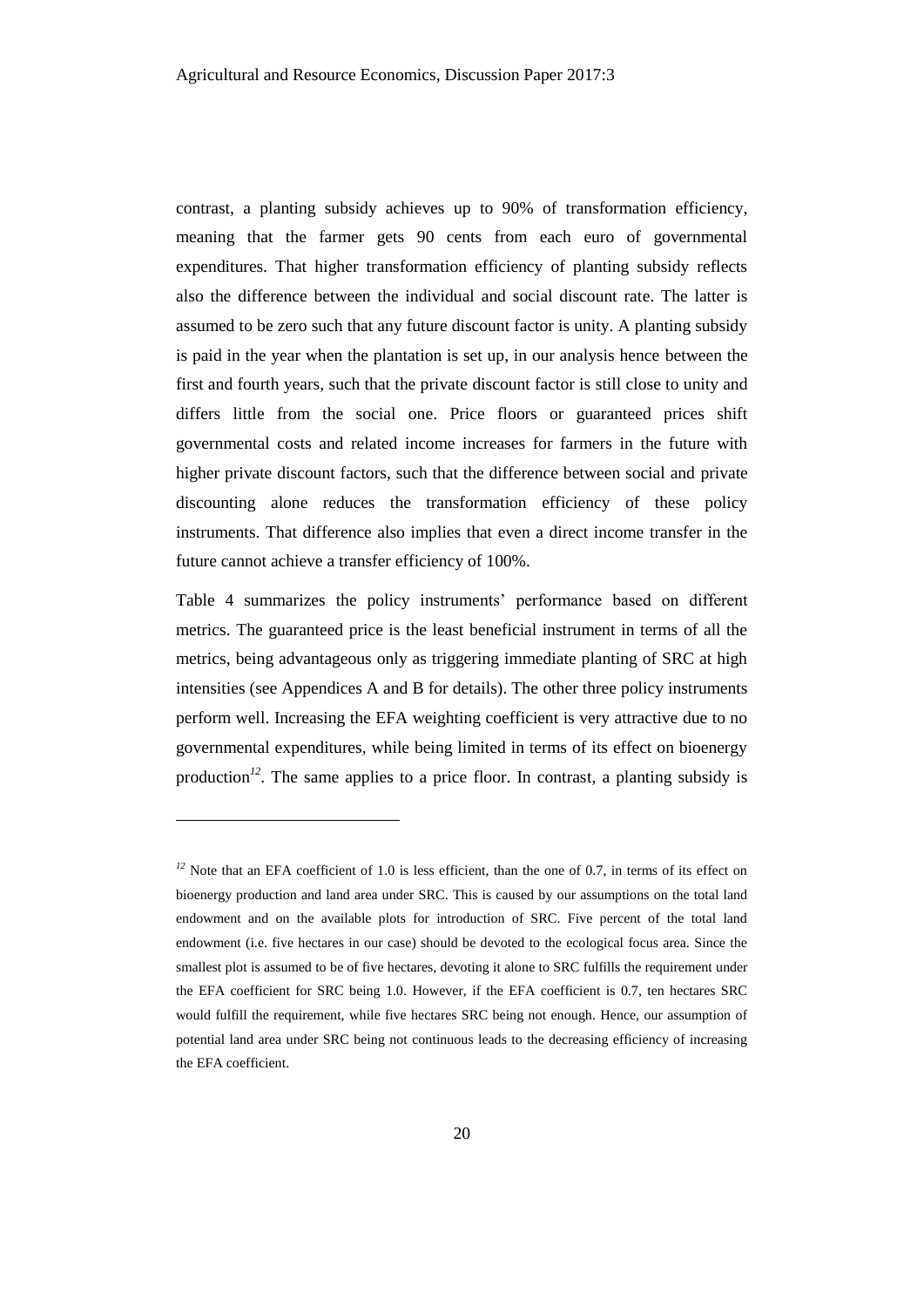contrast, a planting subsidy achieves up to 90% of transformation efficiency, meaning that the farmer gets 90 cents from each euro of governmental expenditures. That higher transformation efficiency of planting subsidy reflects also the difference between the individual and social discount rate. The latter is assumed to be zero such that any future discount factor is unity. A planting subsidy is paid in the year when the plantation is set up, in our analysis hence between the first and fourth years, such that the private discount factor is still close to unity and differs little from the social one. Price floors or guaranteed prices shift governmental costs and related income increases for farmers in the future with higher private discount factors, such that the difference between social and private discounting alone reduces the transformation efficiency of these policy instruments. That difference also implies that even a direct income transfer in the future cannot achieve a transfer efficiency of 100%.

Table 4 summarizes the policy instruments' performance based on different metrics. The guaranteed price is the least beneficial instrument in terms of all the metrics, being advantageous only as triggering immediate planting of SRC at high intensities (see Appendices A and B for details). The other three policy instruments perform well. Increasing the EFA weighting coefficient is very attractive due to no governmental expenditures, while being limited in terms of its effect on bioenergy production<sup>12</sup>. The same applies to a price floor. In contrast, a planting subsidy is

l

 $<sup>12</sup>$  Note that an EFA coefficient of 1.0 is less efficient, than the one of 0.7, in terms of its effect on</sup> bioenergy production and land area under SRC. This is caused by our assumptions on the total land endowment and on the available plots for introduction of SRC. Five percent of the total land endowment (i.e. five hectares in our case) should be devoted to the ecological focus area. Since the smallest plot is assumed to be of five hectares, devoting it alone to SRC fulfills the requirement under the EFA coefficient for SRC being 1.0. However, if the EFA coefficient is 0.7, ten hectares SRC would fulfill the requirement, while five hectares SRC being not enough. Hence, our assumption of potential land area under SRC being not continuous leads to the decreasing efficiency of increasing the EFA coefficient.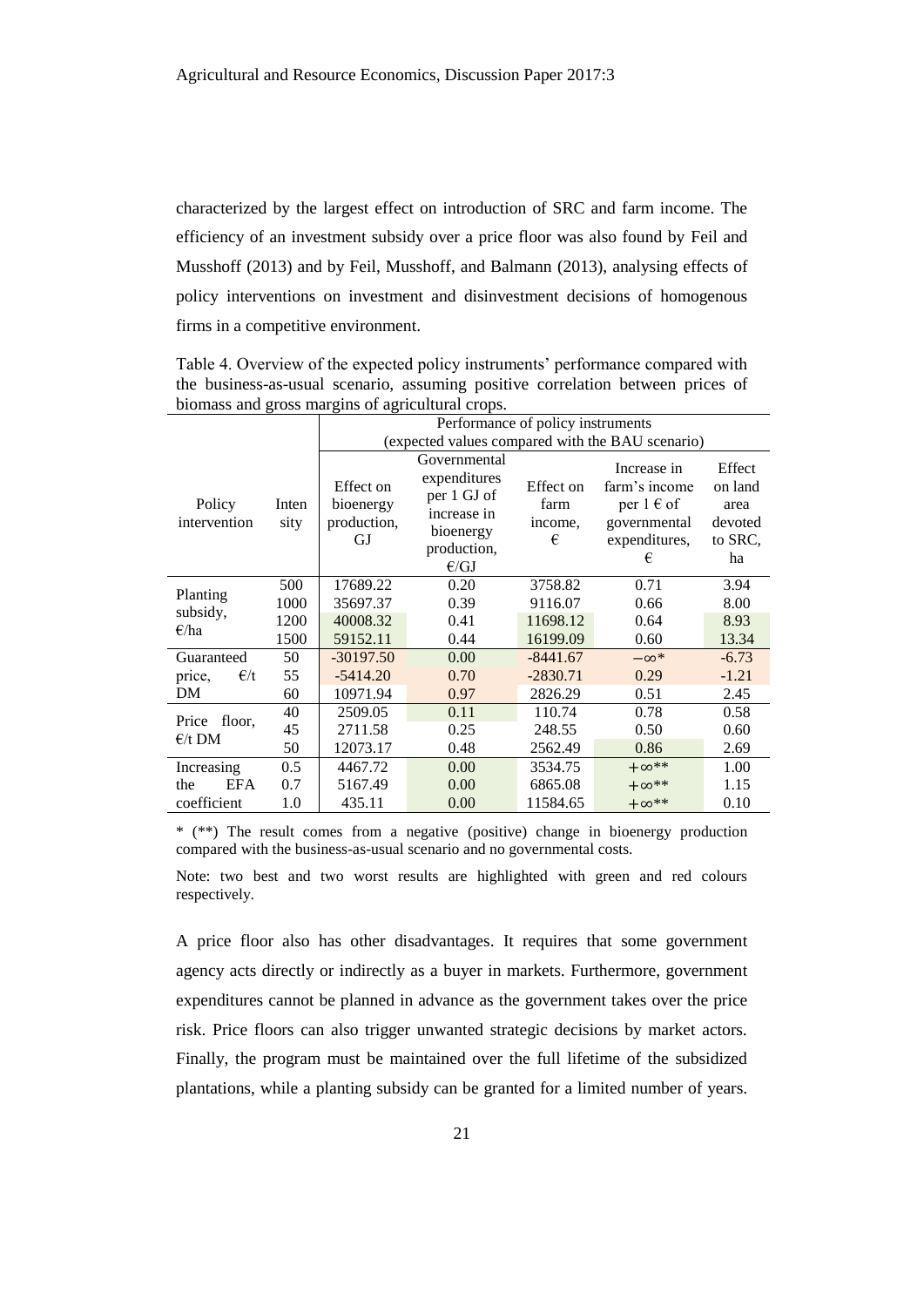characterized by the largest effect on introduction of SRC and farm income. The efficiency of an investment subsidy over a price floor was also found by Feil and Musshoff (2013) and by Feil, Musshoff, and Balmann (2013), analysing effects of policy interventions on investment and disinvestment decisions of homogenous firms in a competitive environment.

Table 4. Overview of the expected policy instruments' performance compared with the business-as-usual scenario, assuming positive correlation between prices of biomass and gross margins of agricultural crops.

|                           |               | Performance of policy instruments           |                                                                                                |            |                                                                                             |                                                       |  |  |  |  |  |  |
|---------------------------|---------------|---------------------------------------------|------------------------------------------------------------------------------------------------|------------|---------------------------------------------------------------------------------------------|-------------------------------------------------------|--|--|--|--|--|--|
|                           |               |                                             |                                                                                                |            | (expected values compared with the BAU scenario)                                            |                                                       |  |  |  |  |  |  |
| Policy<br>intervention    | Inten<br>sity | Effect on<br>bioenergy<br>production,<br>GJ | Governmental<br>expenditures<br>per 1 GJ of<br>increase in<br>bioenergy<br>production,<br>E/GJ |            | Increase in<br>farm's income<br>per $1 \in \text{of}$<br>governmental<br>expenditures,<br>€ | Effect<br>on land<br>area<br>devoted<br>to SRC.<br>ha |  |  |  |  |  |  |
| Planting                  | 500           | 17689.22                                    | 0.20                                                                                           | 3758.82    | 0.71                                                                                        | 3.94                                                  |  |  |  |  |  |  |
| subsidy,                  | 1000          | 35697.37                                    | 0.39                                                                                           | 9116.07    | 0.66                                                                                        | 8.00                                                  |  |  |  |  |  |  |
| $\epsilon$ /ha            | 1200          | 40008.32                                    | 0.41                                                                                           | 11698.12   | 0.64                                                                                        | 8.93                                                  |  |  |  |  |  |  |
|                           | 1500          | 59152.11                                    | 0.44                                                                                           | 16199.09   | 0.60                                                                                        | 13.34                                                 |  |  |  |  |  |  |
| Guaranteed                | 50            | $-30197.50$                                 | 0.00                                                                                           | $-8441.67$ | $-\infty^*$                                                                                 | $-6.73$                                               |  |  |  |  |  |  |
| $\epsilon/t$<br>price,    | 55            | $-5414.20$                                  | 0.70                                                                                           | $-2830.71$ | 0.29                                                                                        | $-1.21$                                               |  |  |  |  |  |  |
| DM                        | 60            | 10971.94                                    | 0.97                                                                                           | 2826.29    | 0.51                                                                                        | 2.45                                                  |  |  |  |  |  |  |
| Price                     | 40            | 2509.05                                     | 0.11                                                                                           | 110.74     | 0.78                                                                                        | 0.58                                                  |  |  |  |  |  |  |
| floor,<br>$\epsilon/t$ DM | 45            | 2711.58                                     | 0.25                                                                                           | 248.55     | 0.50                                                                                        | 0.60                                                  |  |  |  |  |  |  |
|                           | 50            | 12073.17                                    | 0.48                                                                                           | 2562.49    | 0.86                                                                                        | 2.69                                                  |  |  |  |  |  |  |
| Increasing                | 0.5           | 4467.72                                     | 0.00                                                                                           | 3534.75    | $+\infty$ **                                                                                | 1.00                                                  |  |  |  |  |  |  |
| EFA<br>the                | 0.7           | 5167.49                                     | 0.00                                                                                           | 6865.08    | $+\infty$ **                                                                                | 1.15                                                  |  |  |  |  |  |  |
| coefficient               | 1.0           | 435.11                                      | 0.00                                                                                           | 11584.65   | $+\infty$ **                                                                                | 0.10                                                  |  |  |  |  |  |  |

\* (\*\*) The result comes from a negative (positive) change in bioenergy production compared with the business-as-usual scenario and no governmental costs.

Note: two best and two worst results are highlighted with green and red colours respectively.

A price floor also has other disadvantages. It requires that some government agency acts directly or indirectly as a buyer in markets. Furthermore, government expenditures cannot be planned in advance as the government takes over the price risk. Price floors can also trigger unwanted strategic decisions by market actors. Finally, the program must be maintained over the full lifetime of the subsidized plantations, while a planting subsidy can be granted for a limited number of years.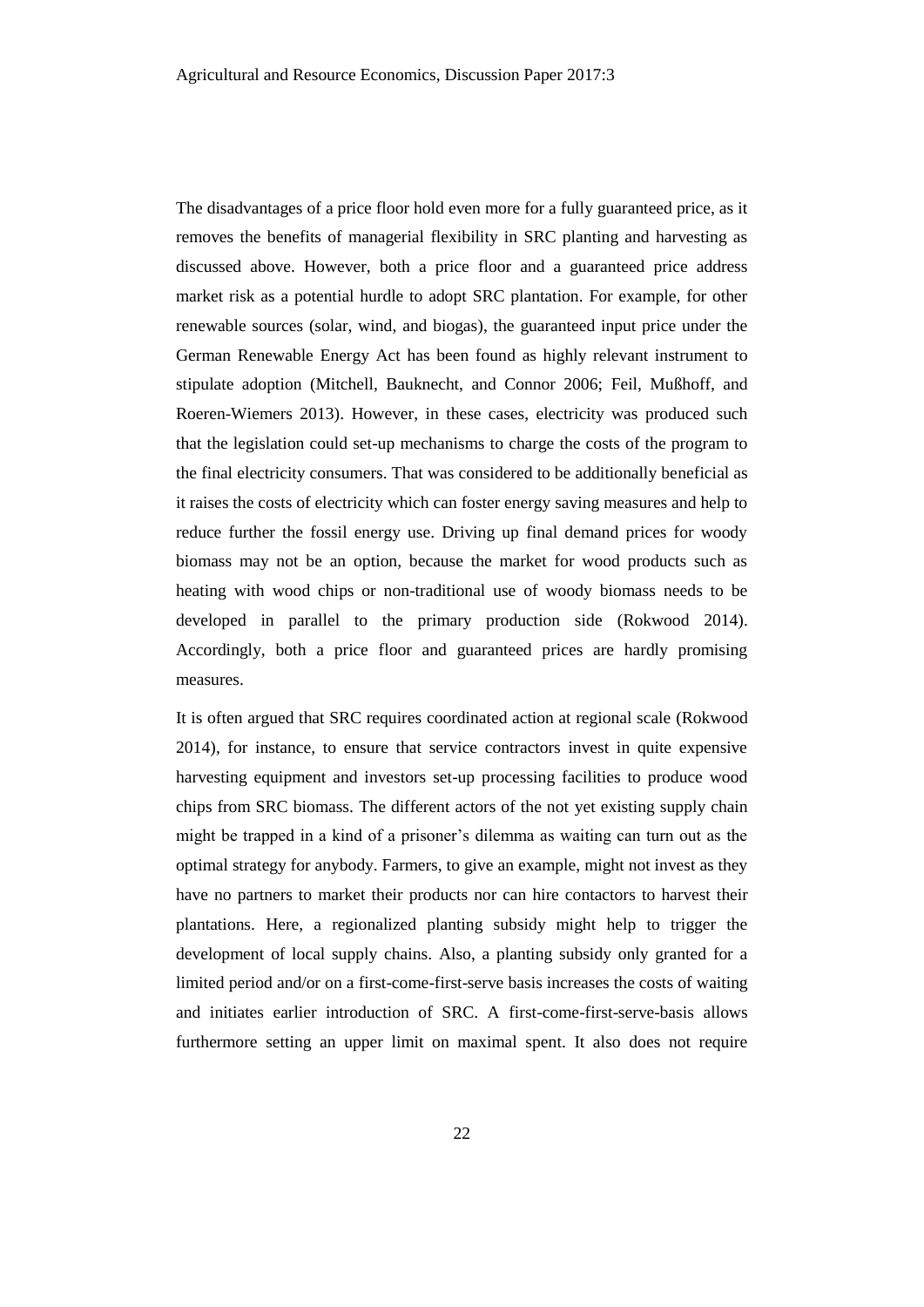The disadvantages of a price floor hold even more for a fully guaranteed price, as it removes the benefits of managerial flexibility in SRC planting and harvesting as discussed above. However, both a price floor and a guaranteed price address market risk as a potential hurdle to adopt SRC plantation. For example, for other renewable sources (solar, wind, and biogas), the guaranteed input price under the German Renewable Energy Act has been found as highly relevant instrument to stipulate adoption (Mitchell, Bauknecht, and Connor 2006; Feil, Mußhoff, and Roeren-Wiemers 2013). However, in these cases, electricity was produced such that the legislation could set-up mechanisms to charge the costs of the program to the final electricity consumers. That was considered to be additionally beneficial as it raises the costs of electricity which can foster energy saving measures and help to reduce further the fossil energy use. Driving up final demand prices for woody biomass may not be an option, because the market for wood products such as heating with wood chips or non-traditional use of woody biomass needs to be developed in parallel to the primary production side (Rokwood 2014). Accordingly, both a price floor and guaranteed prices are hardly promising measures.

It is often argued that SRC requires coordinated action at regional scale (Rokwood 2014), for instance, to ensure that service contractors invest in quite expensive harvesting equipment and investors set-up processing facilities to produce wood chips from SRC biomass. The different actors of the not yet existing supply chain might be trapped in a kind of a prisoner's dilemma as waiting can turn out as the optimal strategy for anybody. Farmers, to give an example, might not invest as they have no partners to market their products nor can hire contactors to harvest their plantations. Here, a regionalized planting subsidy might help to trigger the development of local supply chains. Also, a planting subsidy only granted for a limited period and/or on a first-come-first-serve basis increases the costs of waiting and initiates earlier introduction of SRC. A first-come-first-serve-basis allows furthermore setting an upper limit on maximal spent. It also does not require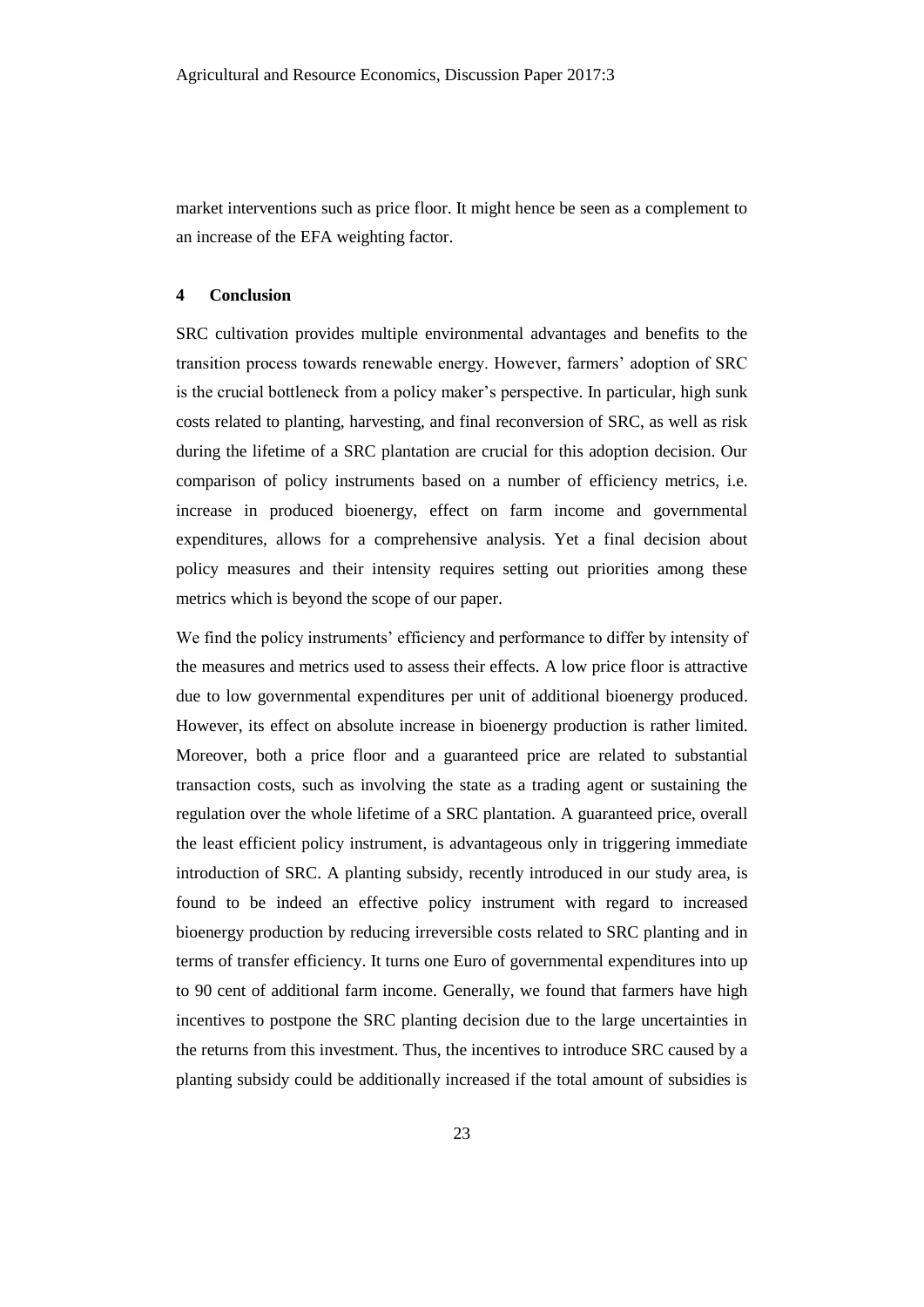market interventions such as price floor. It might hence be seen as a complement to an increase of the EFA weighting factor.

# **4 Conclusion**

SRC cultivation provides multiple environmental advantages and benefits to the transition process towards renewable energy. However, farmers' adoption of SRC is the crucial bottleneck from a policy maker's perspective. In particular, high sunk costs related to planting, harvesting, and final reconversion of SRC, as well as risk during the lifetime of a SRC plantation are crucial for this adoption decision. Our comparison of policy instruments based on a number of efficiency metrics, i.e. increase in produced bioenergy, effect on farm income and governmental expenditures, allows for a comprehensive analysis. Yet a final decision about policy measures and their intensity requires setting out priorities among these metrics which is beyond the scope of our paper.

We find the policy instruments' efficiency and performance to differ by intensity of the measures and metrics used to assess their effects. A low price floor is attractive due to low governmental expenditures per unit of additional bioenergy produced. However, its effect on absolute increase in bioenergy production is rather limited. Moreover, both a price floor and a guaranteed price are related to substantial transaction costs, such as involving the state as a trading agent or sustaining the regulation over the whole lifetime of a SRC plantation. A guaranteed price, overall the least efficient policy instrument, is advantageous only in triggering immediate introduction of SRC. A planting subsidy, recently introduced in our study area, is found to be indeed an effective policy instrument with regard to increased bioenergy production by reducing irreversible costs related to SRC planting and in terms of transfer efficiency. It turns one Euro of governmental expenditures into up to 90 cent of additional farm income. Generally, we found that farmers have high incentives to postpone the SRC planting decision due to the large uncertainties in the returns from this investment. Thus, the incentives to introduce SRC caused by a planting subsidy could be additionally increased if the total amount of subsidies is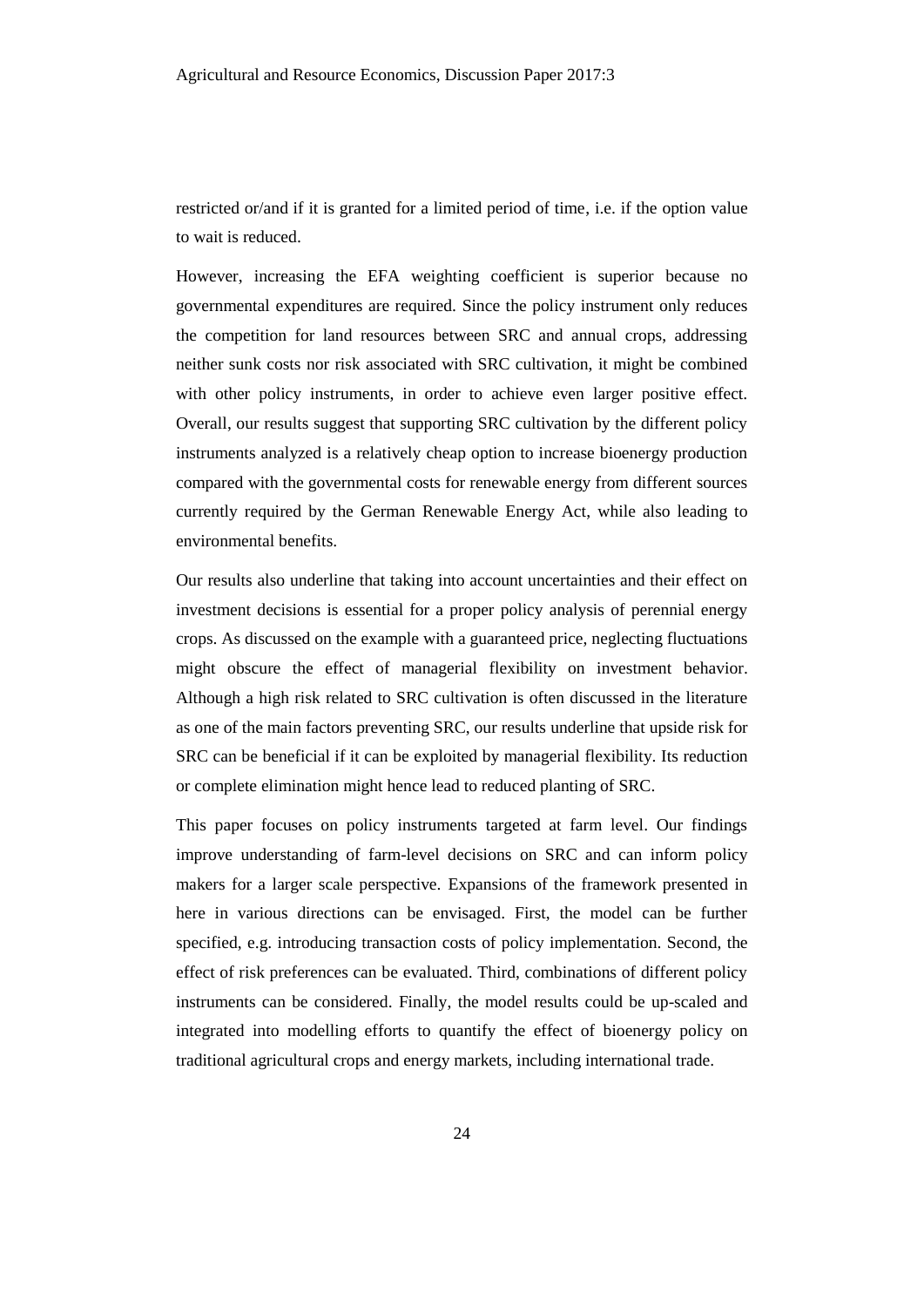restricted or/and if it is granted for a limited period of time, i.e. if the option value to wait is reduced.

However, increasing the EFA weighting coefficient is superior because no governmental expenditures are required. Since the policy instrument only reduces the competition for land resources between SRC and annual crops, addressing neither sunk costs nor risk associated with SRC cultivation, it might be combined with other policy instruments, in order to achieve even larger positive effect. Overall, our results suggest that supporting SRC cultivation by the different policy instruments analyzed is a relatively cheap option to increase bioenergy production compared with the governmental costs for renewable energy from different sources currently required by the German Renewable Energy Act, while also leading to environmental benefits.

Our results also underline that taking into account uncertainties and their effect on investment decisions is essential for a proper policy analysis of perennial energy crops. As discussed on the example with a guaranteed price, neglecting fluctuations might obscure the effect of managerial flexibility on investment behavior. Although a high risk related to SRC cultivation is often discussed in the literature as one of the main factors preventing SRC, our results underline that upside risk for SRC can be beneficial if it can be exploited by managerial flexibility. Its reduction or complete elimination might hence lead to reduced planting of SRC.

This paper focuses on policy instruments targeted at farm level. Our findings improve understanding of farm-level decisions on SRC and can inform policy makers for a larger scale perspective. Expansions of the framework presented in here in various directions can be envisaged. First, the model can be further specified, e.g. introducing transaction costs of policy implementation. Second, the effect of risk preferences can be evaluated. Third, combinations of different policy instruments can be considered. Finally, the model results could be up-scaled and integrated into modelling efforts to quantify the effect of bioenergy policy on traditional agricultural crops and energy markets, including international trade.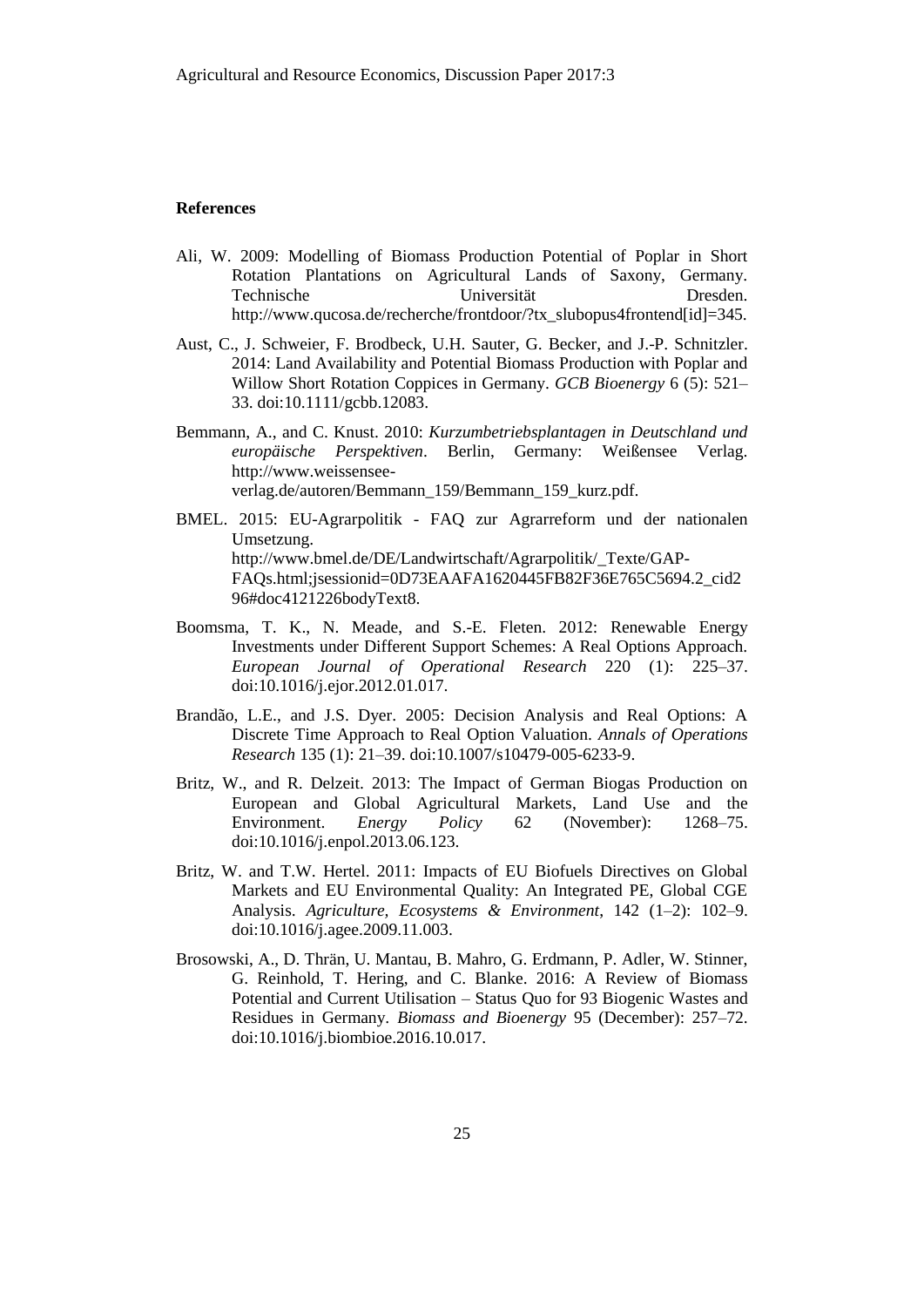#### **References**

- Ali, W. 2009: Modelling of Biomass Production Potential of Poplar in Short Rotation Plantations on Agricultural Lands of Saxony, Germany. Technische Universität Dresden. http://www.qucosa.de/recherche/frontdoor/?tx\_slubopus4frontend[id]=345.
- Aust, C., J. Schweier, F. Brodbeck, U.H. Sauter, G. Becker, and J.-P. Schnitzler. 2014: Land Availability and Potential Biomass Production with Poplar and Willow Short Rotation Coppices in Germany. *GCB Bioenergy* 6 (5): 521– 33. doi:10.1111/gcbb.12083.
- Bemmann, A., and C. Knust. 2010: *Kurzumbetriebsplantagen in Deutschland und europäische Perspektiven*. Berlin, Germany: Weißensee Verlag. http://www.weissenseeverlag.de/autoren/Bemmann\_159/Bemmann\_159\_kurz.pdf.
- BMEL. 2015: EU-Agrarpolitik FAQ zur Agrarreform und der nationalen Umsetzung. http://www.bmel.de/DE/Landwirtschaft/Agrarpolitik/\_Texte/GAP-FAQs.html;jsessionid=0D73EAAFA1620445FB82F36E765C5694.2\_cid2 96#doc4121226bodyText8.
- Boomsma, T. K., N. Meade, and S.-E. Fleten. 2012: Renewable Energy Investments under Different Support Schemes: A Real Options Approach. *European Journal of Operational Research* 220 (1): 225–37. doi:10.1016/j.ejor.2012.01.017.
- Brandão, L.E., and J.S. Dyer. 2005: Decision Analysis and Real Options: A Discrete Time Approach to Real Option Valuation. *Annals of Operations Research* 135 (1): 21–39. doi:10.1007/s10479-005-6233-9.
- Britz, W., and R. Delzeit. 2013: The Impact of German Biogas Production on European and Global Agricultural Markets, Land Use and the Environment. *Energy Policy* 62 (November): 1268–75. doi:10.1016/j.enpol.2013.06.123.
- Britz, W. and T.W. Hertel. 2011: Impacts of EU Biofuels Directives on Global Markets and EU Environmental Quality: An Integrated PE, Global CGE Analysis. *Agriculture, Ecosystems & Environment*, 142 (1–2): 102–9. doi:10.1016/j.agee.2009.11.003.
- Brosowski, A., D. Thrän, U. Mantau, B. Mahro, G. Erdmann, P. Adler, W. Stinner, G. Reinhold, T. Hering, and C. Blanke. 2016: A Review of Biomass Potential and Current Utilisation – Status Quo for 93 Biogenic Wastes and Residues in Germany. *Biomass and Bioenergy* 95 (December): 257–72. doi:10.1016/j.biombioe.2016.10.017.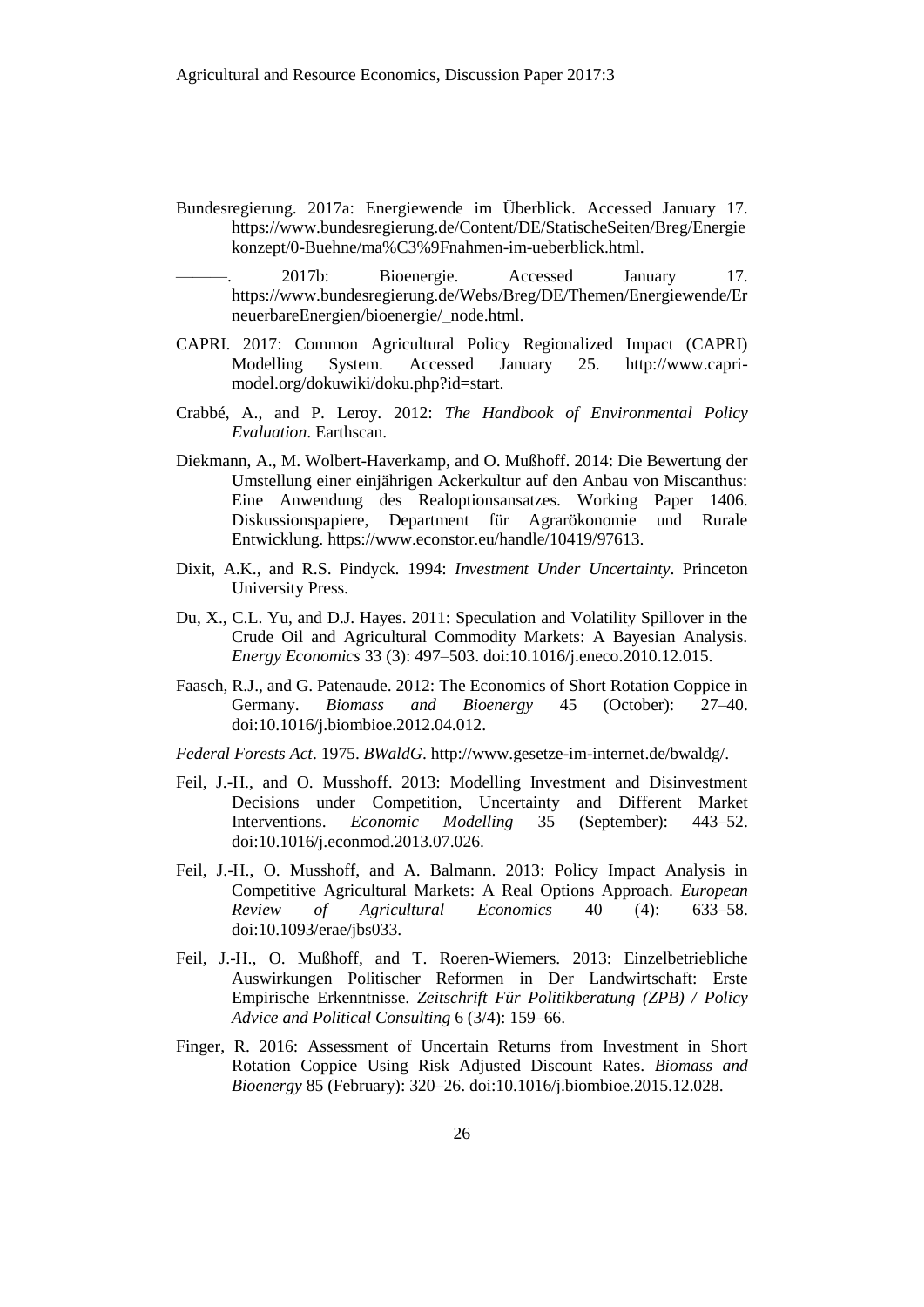- Bundesregierung. 2017a: Energiewende im Überblick. Accessed January 17. https://www.bundesregierung.de/Content/DE/StatischeSeiten/Breg/Energie konzept/0-Buehne/ma%C3%9Fnahmen-im-ueberblick.html.
- 2017b: Bioenergie. Accessed January 17. https://www.bundesregierung.de/Webs/Breg/DE/Themen/Energiewende/Er neuerbareEnergien/bioenergie/\_node.html.
- CAPRI. 2017: Common Agricultural Policy Regionalized Impact (CAPRI) Modelling System. Accessed January 25. http://www.caprimodel.org/dokuwiki/doku.php?id=start.
- Crabbé, A., and P. Leroy. 2012: *The Handbook of Environmental Policy Evaluation*. Earthscan.
- Diekmann, A., M. Wolbert-Haverkamp, and O. Mußhoff. 2014: Die Bewertung der Umstellung einer einjährigen Ackerkultur auf den Anbau von Miscanthus: Eine Anwendung des Realoptionsansatzes. Working Paper 1406. Diskussionspapiere, Department für Agrarökonomie und Rurale Entwicklung. https://www.econstor.eu/handle/10419/97613.
- Dixit, A.K., and R.S. Pindyck. 1994: *Investment Under Uncertainty*. Princeton University Press.
- Du, X., C.L. Yu, and D.J. Hayes. 2011: Speculation and Volatility Spillover in the Crude Oil and Agricultural Commodity Markets: A Bayesian Analysis. *Energy Economics* 33 (3): 497–503. doi:10.1016/j.eneco.2010.12.015.
- Faasch, R.J., and G. Patenaude. 2012: The Economics of Short Rotation Coppice in Germany. *Biomass and Bioenergy* 45 (October): 27–40. doi:10.1016/j.biombioe.2012.04.012.
- *Federal Forests Act*. 1975. *BWaldG*. http://www.gesetze-im-internet.de/bwaldg/.
- Feil, J.-H., and O. Musshoff. 2013: Modelling Investment and Disinvestment Decisions under Competition, Uncertainty and Different Market Interventions. *Economic Modelling* 35 (September): 443–52. doi:10.1016/j.econmod.2013.07.026.
- Feil, J.-H., O. Musshoff, and A. Balmann. 2013: Policy Impact Analysis in Competitive Agricultural Markets: A Real Options Approach. *European Review of Agricultural Economics* 40 (4): 633–58. doi:10.1093/erae/jbs033.
- Feil, J.-H., O. Mußhoff, and T. Roeren-Wiemers. 2013: Einzelbetriebliche Auswirkungen Politischer Reformen in Der Landwirtschaft: Erste Empirische Erkenntnisse. *Zeitschrift Für Politikberatung (ZPB) / Policy Advice and Political Consulting* 6 (3/4): 159–66.
- Finger, R. 2016: Assessment of Uncertain Returns from Investment in Short Rotation Coppice Using Risk Adjusted Discount Rates. *Biomass and Bioenergy* 85 (February): 320–26. doi:10.1016/j.biombioe.2015.12.028.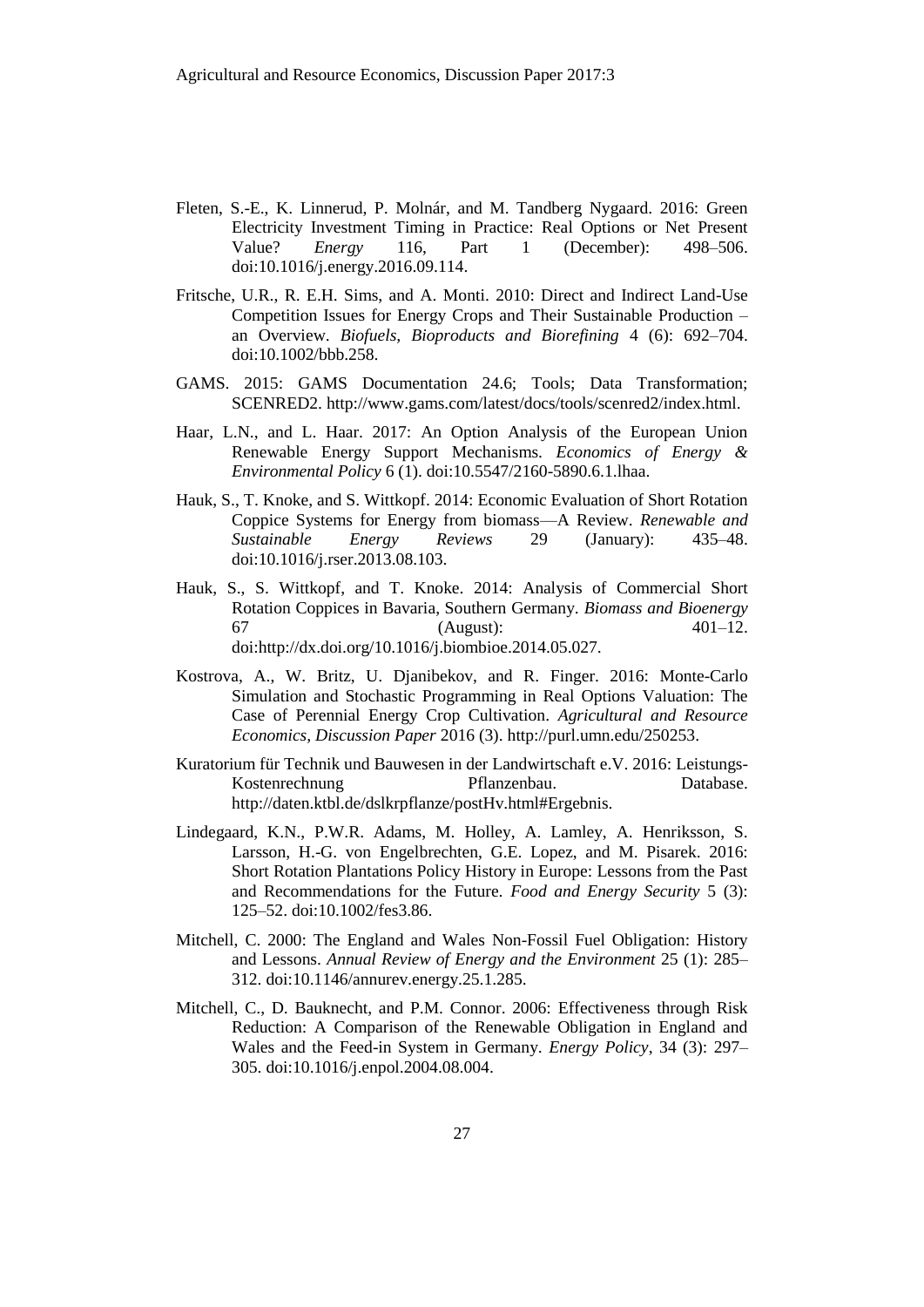- Fleten, S.-E., K. Linnerud, P. Molnár, and M. Tandberg Nygaard. 2016: Green Electricity Investment Timing in Practice: Real Options or Net Present Value? *Energy* 116, Part 1 (December): 498–506. doi:10.1016/j.energy.2016.09.114.
- Fritsche, U.R., R. E.H. Sims, and A. Monti. 2010: Direct and Indirect Land-Use Competition Issues for Energy Crops and Their Sustainable Production – an Overview. *Biofuels, Bioproducts and Biorefining* 4 (6): 692–704. doi:10.1002/bbb.258.
- GAMS. 2015: GAMS Documentation 24.6; Tools; Data Transformation; SCENRED2. http://www.gams.com/latest/docs/tools/scenred2/index.html.
- Haar, L.N., and L. Haar. 2017: An Option Analysis of the European Union Renewable Energy Support Mechanisms. *Economics of Energy & Environmental Policy* 6 (1). doi:10.5547/2160-5890.6.1.lhaa.
- Hauk, S., T. Knoke, and S. Wittkopf. 2014: Economic Evaluation of Short Rotation Coppice Systems for Energy from biomass—A Review. *Renewable and Sustainable Energy Reviews* 29 (January): 435–48. doi:10.1016/j.rser.2013.08.103.
- Hauk, S., S. Wittkopf, and T. Knoke. 2014: Analysis of Commercial Short Rotation Coppices in Bavaria, Southern Germany. *Biomass and Bioenergy* 67 (August): 401–12. doi:http://dx.doi.org/10.1016/j.biombioe.2014.05.027.
- Kostrova, A., W. Britz, U. Djanibekov, and R. Finger. 2016: Monte-Carlo Simulation and Stochastic Programming in Real Options Valuation: The Case of Perennial Energy Crop Cultivation. *Agricultural and Resource Economics, Discussion Paper* 2016 (3). http://purl.umn.edu/250253.
- Kuratorium für Technik und Bauwesen in der Landwirtschaft e.V. 2016: Leistungs-Kostenrechnung Pflanzenbau. Database. http://daten.ktbl.de/dslkrpflanze/postHv.html#Ergebnis.
- Lindegaard, K.N., P.W.R. Adams, M. Holley, A. Lamley, A. Henriksson, S. Larsson, H.-G. von Engelbrechten, G.E. Lopez, and M. Pisarek. 2016: Short Rotation Plantations Policy History in Europe: Lessons from the Past and Recommendations for the Future. *Food and Energy Security* 5 (3): 125–52. doi:10.1002/fes3.86.
- Mitchell, C. 2000: The England and Wales Non-Fossil Fuel Obligation: History and Lessons. *Annual Review of Energy and the Environment* 25 (1): 285– 312. doi:10.1146/annurev.energy.25.1.285.
- Mitchell, C., D. Bauknecht, and P.M. Connor. 2006: Effectiveness through Risk Reduction: A Comparison of the Renewable Obligation in England and Wales and the Feed-in System in Germany. *Energy Policy*, 34 (3): 297– 305. doi:10.1016/j.enpol.2004.08.004.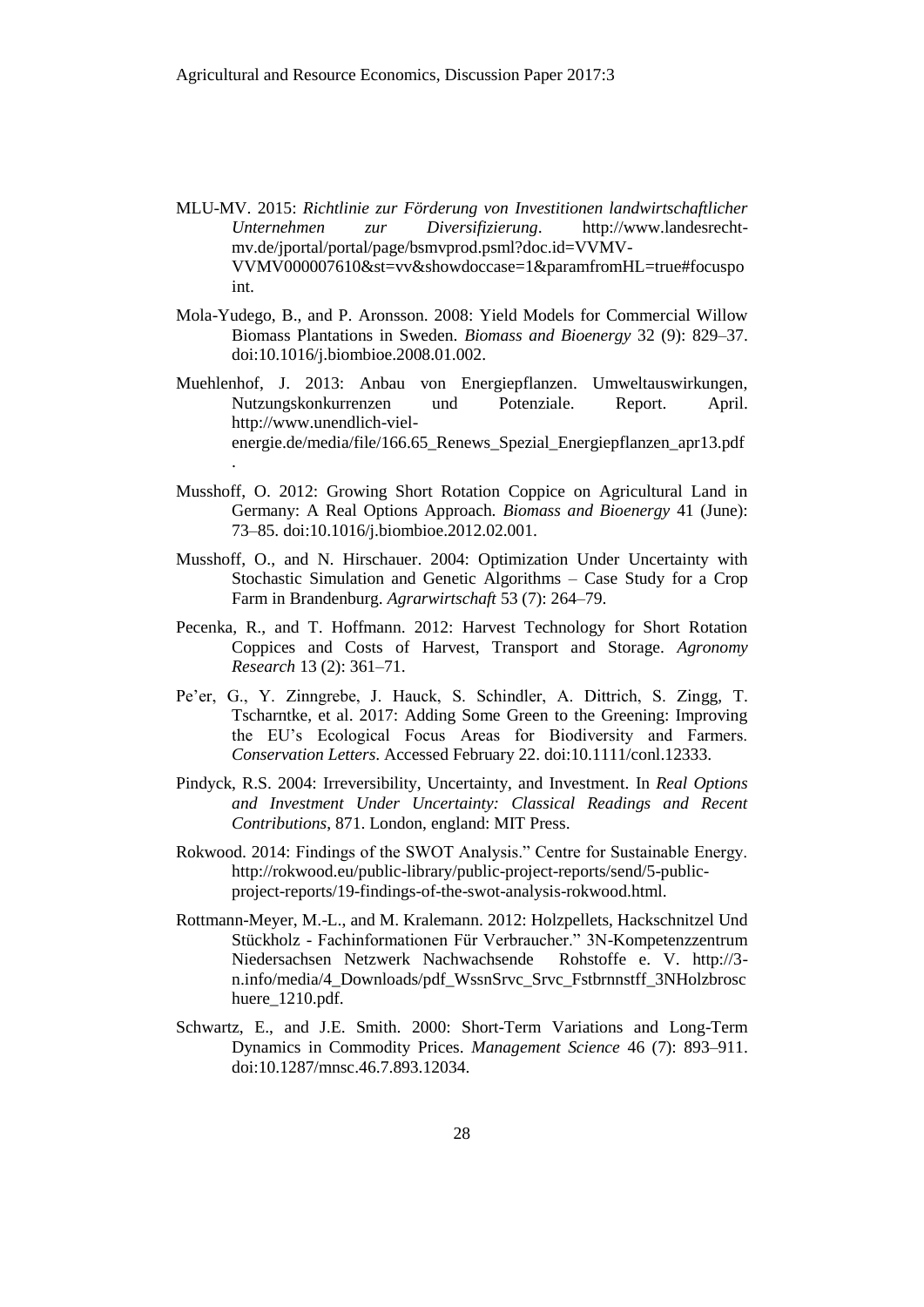- MLU-MV. 2015: *Richtlinie zur Förderung von Investitionen landwirtschaftlicher Unternehmen zur Diversifizierung*. http://www.landesrechtmv.de/jportal/portal/page/bsmvprod.psml?doc.id=VVMV-VVMV000007610&st=vv&showdoccase=1&paramfromHL=true#focuspo int.
- Mola-Yudego, B., and P. Aronsson. 2008: Yield Models for Commercial Willow Biomass Plantations in Sweden. *Biomass and Bioenergy* 32 (9): 829–37. doi:10.1016/j.biombioe.2008.01.002.
- Muehlenhof, J. 2013: Anbau von Energiepflanzen. Umweltauswirkungen, Nutzungskonkurrenzen und Potenziale. Report. April. http://www.unendlich-vielenergie.de/media/file/166.65\_Renews\_Spezial\_Energiepflanzen\_apr13.pdf

.

- Musshoff, O. 2012: Growing Short Rotation Coppice on Agricultural Land in Germany: A Real Options Approach. *Biomass and Bioenergy* 41 (June): 73–85. doi:10.1016/j.biombioe.2012.02.001.
- Musshoff, O., and N. Hirschauer. 2004: Optimization Under Uncertainty with Stochastic Simulation and Genetic Algorithms – Case Study for a Crop Farm in Brandenburg. *Agrarwirtschaft* 53 (7): 264–79.
- Pecenka, R., and T. Hoffmann. 2012: Harvest Technology for Short Rotation Coppices and Costs of Harvest, Transport and Storage. *Agronomy Research* 13 (2): 361–71.
- Pe'er, G., Y. Zinngrebe, J. Hauck, S. Schindler, A. Dittrich, S. Zingg, T. Tscharntke, et al. 2017: Adding Some Green to the Greening: Improving the EU's Ecological Focus Areas for Biodiversity and Farmers. *Conservation Letters*. Accessed February 22. doi:10.1111/conl.12333.
- Pindyck, R.S. 2004: Irreversibility, Uncertainty, and Investment. In *Real Options and Investment Under Uncertainty: Classical Readings and Recent Contributions*, 871. London, england: MIT Press.
- Rokwood. 2014: Findings of the SWOT Analysis." Centre for Sustainable Energy. http://rokwood.eu/public-library/public-project-reports/send/5-publicproject-reports/19-findings-of-the-swot-analysis-rokwood.html.
- Rottmann-Meyer, M.-L., and M. Kralemann. 2012: Holzpellets, Hackschnitzel Und Stückholz - Fachinformationen Für Verbraucher." 3N-Kompetenzzentrum Niedersachsen Netzwerk Nachwachsende Rohstoffe e. V. http://3 n.info/media/4\_Downloads/pdf\_WssnSrvc\_Srvc\_Fstbrnnstff\_3NHolzbrosc huere 1210.pdf.
- Schwartz, E., and J.E. Smith. 2000: Short-Term Variations and Long-Term Dynamics in Commodity Prices. *Management Science* 46 (7): 893–911. doi:10.1287/mnsc.46.7.893.12034.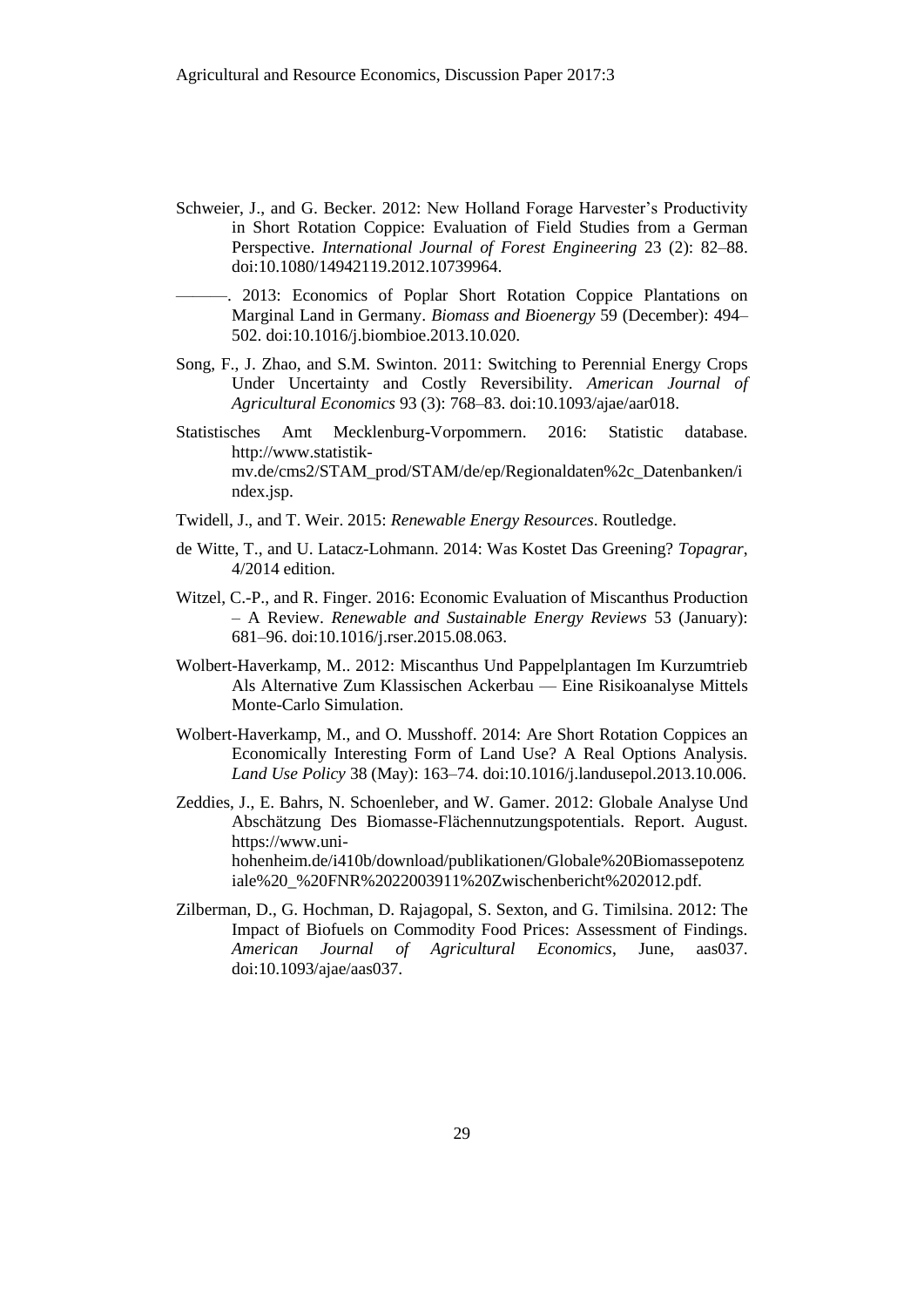- Schweier, J., and G. Becker. 2012: New Holland Forage Harvester's Productivity in Short Rotation Coppice: Evaluation of Field Studies from a German Perspective. *International Journal of Forest Engineering* 23 (2): 82–88. doi:10.1080/14942119.2012.10739964.
	- ———. 2013: Economics of Poplar Short Rotation Coppice Plantations on Marginal Land in Germany. *Biomass and Bioenergy* 59 (December): 494– 502. doi:10.1016/j.biombioe.2013.10.020.
- Song, F., J. Zhao, and S.M. Swinton. 2011: Switching to Perennial Energy Crops Under Uncertainty and Costly Reversibility. *American Journal of Agricultural Economics* 93 (3): 768–83. doi:10.1093/ajae/aar018.
- Statistisches Amt Mecklenburg-Vorpommern. 2016: Statistic database. http://www.statistikmv.de/cms2/STAM\_prod/STAM/de/ep/Regionaldaten%2c\_Datenbanken/i ndex.jsp.
- Twidell, J., and T. Weir. 2015: *Renewable Energy Resources*. Routledge.
- de Witte, T., and U. Latacz-Lohmann. 2014: Was Kostet Das Greening? *Topagrar*, 4/2014 edition.
- Witzel, C.-P., and R. Finger. 2016: Economic Evaluation of Miscanthus Production – A Review. *Renewable and Sustainable Energy Reviews* 53 (January): 681–96. doi:10.1016/j.rser.2015.08.063.
- Wolbert-Haverkamp, M.. 2012: Miscanthus Und Pappelplantagen Im Kurzumtrieb Als Alternative Zum Klassischen Ackerbau — Eine Risikoanalyse Mittels Monte-Carlo Simulation.
- Wolbert-Haverkamp, M., and O. Musshoff. 2014: Are Short Rotation Coppices an Economically Interesting Form of Land Use? A Real Options Analysis. *Land Use Policy* 38 (May): 163–74. doi:10.1016/j.landusepol.2013.10.006.
- Zeddies, J., E. Bahrs, N. Schoenleber, and W. Gamer. 2012: Globale Analyse Und Abschätzung Des Biomasse-Flächennutzungspotentials. Report. August. https://www.unihohenheim.de/i410b/download/publikationen/Globale%20Biomassepotenz iale%20\_%20FNR%2022003911%20Zwischenbericht%202012.pdf.
- Zilberman, D., G. Hochman, D. Rajagopal, S. Sexton, and G. Timilsina. 2012: The Impact of Biofuels on Commodity Food Prices: Assessment of Findings. *American Journal of Agricultural Economics*, June, aas037. doi:10.1093/ajae/aas037.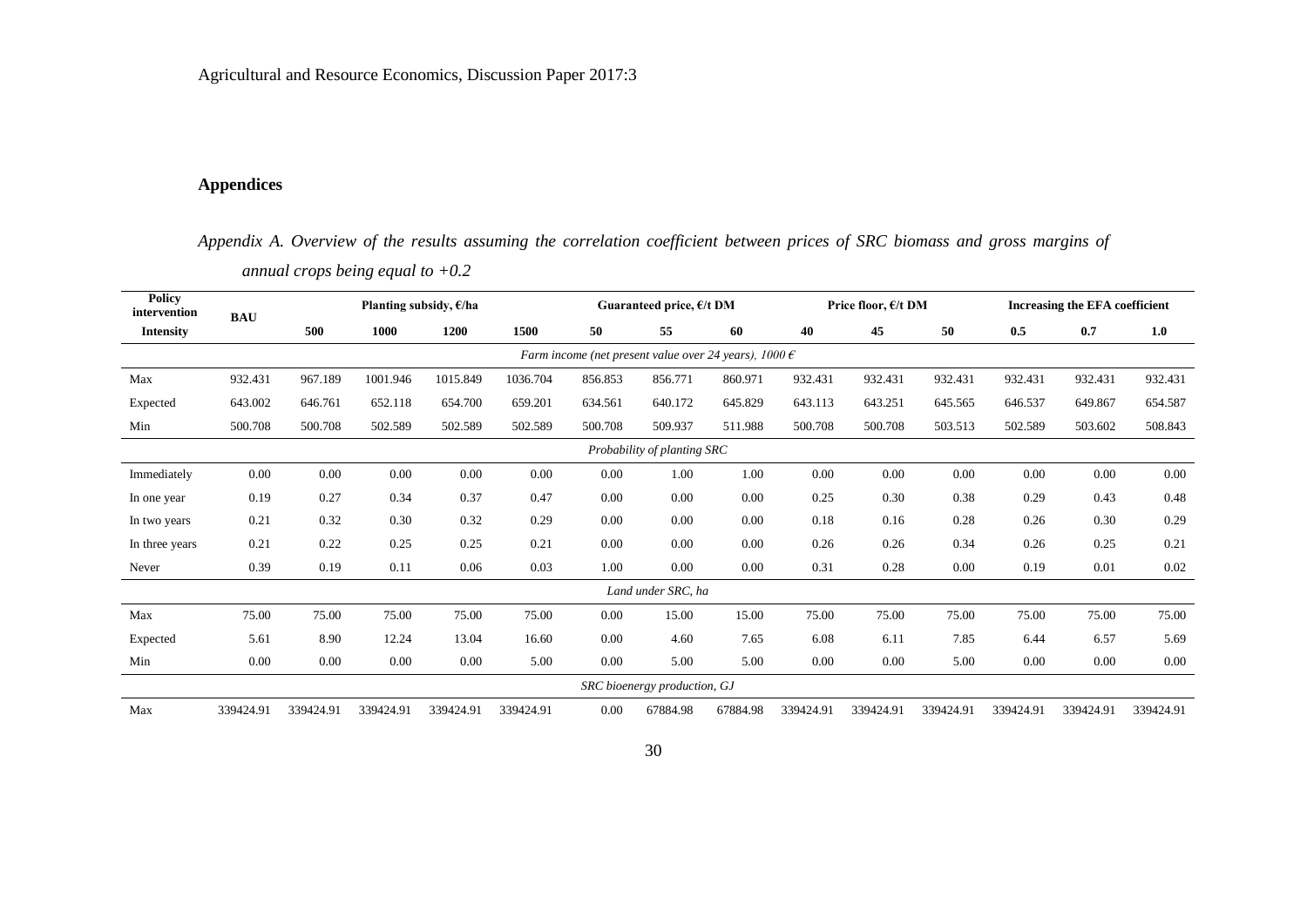Agricultural and Resource Economics, Discussion Paper 2017:3

# **Appendices**

*Appendix A. Overview of the results assuming the correlation coefficient between prices of SRC biomass and gross margins of annual crops being equal to +0.2*

| <b>Policy</b><br>intervention<br><b>BAU</b> |           |           | Planting subsidy, $\epsilon$ /ha |           |           |          | Guaranteed price, $E/t$ DM                                       |          |           | Price floor, $E/t$ DM |           | <b>Increasing the EFA coefficient</b> |           |           |
|---------------------------------------------|-----------|-----------|----------------------------------|-----------|-----------|----------|------------------------------------------------------------------|----------|-----------|-----------------------|-----------|---------------------------------------|-----------|-----------|
| <b>Intensity</b>                            |           | 500       | 1000                             | 1200      | 1500      | 50       | 55                                                               | 60       | 40        | 45                    | 50        | 0.5                                   | 0.7       | 1.0       |
|                                             |           |           |                                  |           |           |          | Farm income (net present value over 24 years), $1000 \,\epsilon$ |          |           |                       |           |                                       |           |           |
| Max                                         | 932.431   | 967.189   | 1001.946                         | 1015.849  | 1036.704  | 856.853  | 856.771                                                          | 860.971  | 932.431   | 932.431               | 932.431   | 932.431                               | 932.431   | 932.431   |
| Expected                                    | 643.002   | 646.761   | 652.118                          | 654.700   | 659.201   | 634.561  | 640.172                                                          | 645.829  | 643.113   | 643.251               | 645.565   | 646.537                               | 649.867   | 654.587   |
| Min                                         | 500.708   | 500.708   | 502.589                          | 502.589   | 502.589   | 500.708  | 509.937                                                          | 511.988  | 500.708   | 500.708               | 503.513   | 502.589                               | 503.602   | 508.843   |
| Probability of planting SRC                 |           |           |                                  |           |           |          |                                                                  |          |           |                       |           |                                       |           |           |
| Immediately                                 | 0.00      | 0.00      | 0.00                             | 0.00      | 0.00      | $0.00\,$ | 1.00                                                             | 1.00     | 0.00      | 0.00                  | 0.00      | 0.00                                  | 0.00      | $0.00\,$  |
| In one year                                 | 0.19      | 0.27      | 0.34                             | 0.37      | 0.47      | 0.00     | 0.00                                                             | 0.00     | 0.25      | 0.30                  | 0.38      | 0.29                                  | 0.43      | 0.48      |
| In two years                                | 0.21      | 0.32      | 0.30                             | 0.32      | 0.29      | 0.00     | 0.00                                                             | 0.00     | 0.18      | 0.16                  | 0.28      | 0.26                                  | 0.30      | 0.29      |
| In three years                              | 0.21      | 0.22      | 0.25                             | 0.25      | 0.21      | 0.00     | 0.00                                                             | 0.00     | 0.26      | 0.26                  | 0.34      | 0.26                                  | 0.25      | 0.21      |
| Never                                       | 0.39      | 0.19      | 0.11                             | 0.06      | 0.03      | 1.00     | 0.00                                                             | 0.00     | 0.31      | 0.28                  | 0.00      | 0.19                                  | 0.01      | 0.02      |
|                                             |           |           |                                  |           |           |          | Land under SRC, ha                                               |          |           |                       |           |                                       |           |           |
| Max                                         | 75.00     | 75.00     | 75.00                            | 75.00     | 75.00     | $0.00\,$ | 15.00                                                            | 15.00    | 75.00     | 75.00                 | 75.00     | 75.00                                 | 75.00     | 75.00     |
| Expected                                    | 5.61      | 8.90      | 12.24                            | 13.04     | 16.60     | 0.00     | 4.60                                                             | 7.65     | 6.08      | 6.11                  | 7.85      | 6.44                                  | 6.57      | 5.69      |
| Min                                         | 0.00      | 0.00      | 0.00                             | 0.00      | 5.00      | 0.00     | 5.00                                                             | 5.00     | 0.00      | 0.00                  | 5.00      | $0.00\,$                              | 0.00      | 0.00      |
|                                             |           |           |                                  |           |           |          | SRC bioenergy production, GJ                                     |          |           |                       |           |                                       |           |           |
| Max                                         | 339424.91 | 339424.91 | 339424.91                        | 339424.91 | 339424.91 | 0.00     | 67884.98                                                         | 67884.98 | 339424.91 | 339424.91             | 339424.91 | 339424.91                             | 339424.91 | 339424.91 |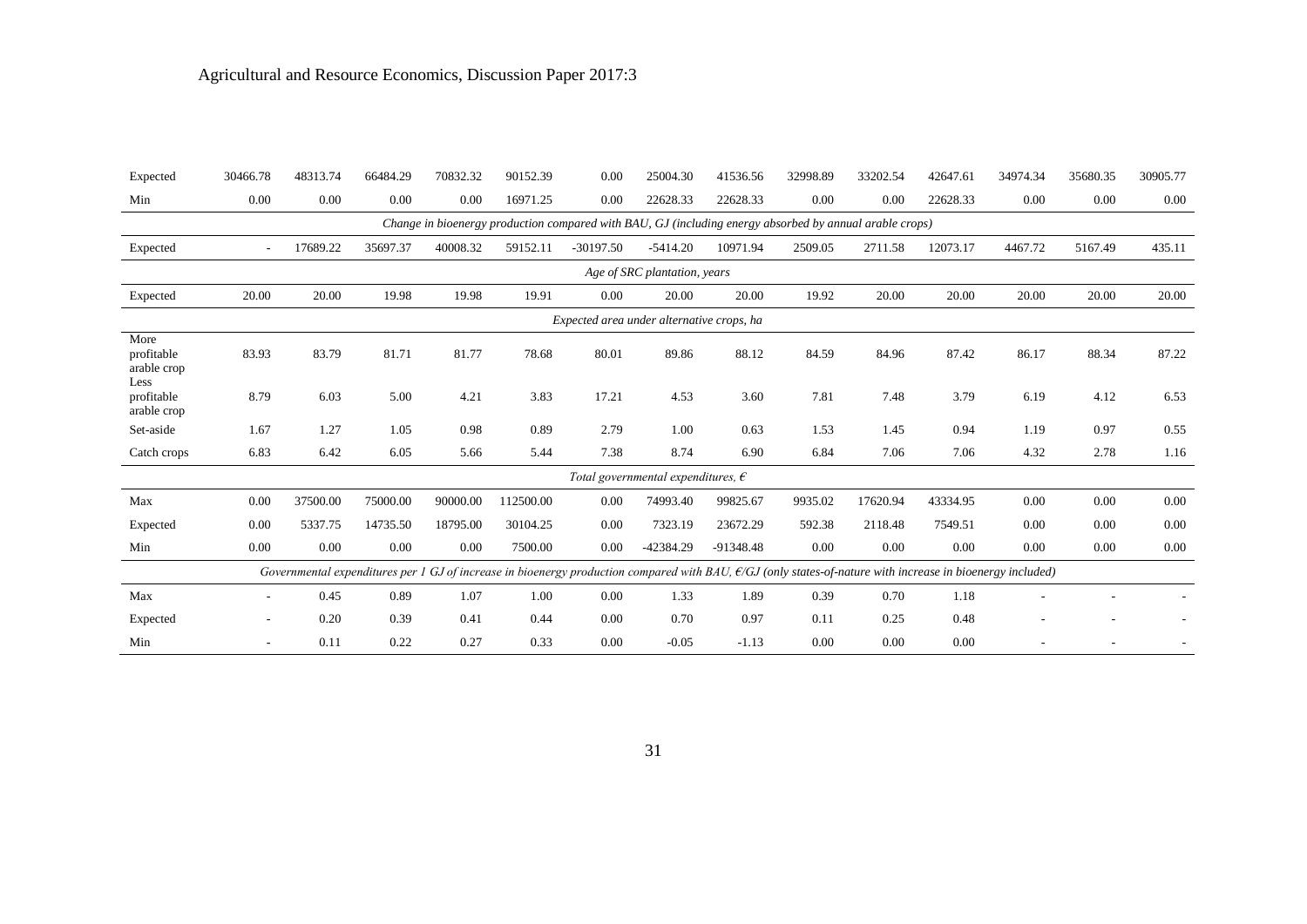| Expected                                                                                                | 30466.78 | 48313.74 | 66484.29 | 70832.32 | 90152.39  | 0.00        | 25004.30                                    | 41536.56    | 32998.89                                                                                                                                                     | 33202.54 | 42647.61 | 34974.34 | 35680.35 | 30905.77 |
|---------------------------------------------------------------------------------------------------------|----------|----------|----------|----------|-----------|-------------|---------------------------------------------|-------------|--------------------------------------------------------------------------------------------------------------------------------------------------------------|----------|----------|----------|----------|----------|
| Min                                                                                                     | 0.00     | 0.00     | 0.00     | 0.00     | 16971.25  | 0.00        | 22628.33                                    | 22628.33    | 0.00                                                                                                                                                         | 0.00     | 22628.33 | 0.00     | 0.00     | 0.00     |
| Change in bioenergy production compared with BAU, GJ (including energy absorbed by annual arable crops) |          |          |          |          |           |             |                                             |             |                                                                                                                                                              |          |          |          |          |          |
| Expected                                                                                                | ٠        | 17689.22 | 35697.37 | 40008.32 | 59152.11  | $-30197.50$ | $-5414.20$                                  | 10971.94    | 2509.05                                                                                                                                                      | 2711.58  | 12073.17 | 4467.72  | 5167.49  | 435.11   |
| Age of SRC plantation, years                                                                            |          |          |          |          |           |             |                                             |             |                                                                                                                                                              |          |          |          |          |          |
| Expected                                                                                                | 20.00    | 20.00    | 19.98    | 19.98    | 19.91     | $0.00\,$    | 20.00                                       | 20.00       | 19.92                                                                                                                                                        | 20.00    | 20.00    | 20.00    | 20.00    | 20.00    |
| Expected area under alternative crops, ha                                                               |          |          |          |          |           |             |                                             |             |                                                                                                                                                              |          |          |          |          |          |
| More<br>profitable<br>arable crop                                                                       | 83.93    | 83.79    | 81.71    | 81.77    | 78.68     | 80.01       | 89.86                                       | 88.12       | 84.59                                                                                                                                                        | 84.96    | 87.42    | 86.17    | 88.34    | 87.22    |
| Less<br>profitable<br>arable crop                                                                       | 8.79     | 6.03     | 5.00     | 4.21     | 3.83      | 17.21       | 4.53                                        | 3.60        | 7.81                                                                                                                                                         | 7.48     | 3.79     | 6.19     | 4.12     | 6.53     |
| Set-aside                                                                                               | 1.67     | 1.27     | 1.05     | 0.98     | 0.89      | 2.79        | 1.00                                        | 0.63        | 1.53                                                                                                                                                         | 1.45     | 0.94     | 1.19     | 0.97     | 0.55     |
| Catch crops                                                                                             | 6.83     | 6.42     | 6.05     | 5.66     | 5.44      | 7.38        | 8.74                                        | 6.90        | 6.84                                                                                                                                                         | 7.06     | 7.06     | 4.32     | 2.78     | 1.16     |
|                                                                                                         |          |          |          |          |           |             | Total governmental expenditures, $\epsilon$ |             |                                                                                                                                                              |          |          |          |          |          |
| Max                                                                                                     | 0.00     | 37500.00 | 75000.00 | 90000.00 | 112500.00 | 0.00        | 74993.40                                    | 99825.67    | 9935.02                                                                                                                                                      | 17620.94 | 43334.95 | 0.00     | 0.00     | 0.00     |
| Expected                                                                                                | 0.00     | 5337.75  | 14735.50 | 18795.00 | 30104.25  | 0.00        | 7323.19                                     | 23672.29    | 592.38                                                                                                                                                       | 2118.48  | 7549.51  | 0.00     | 0.00     | 0.00     |
| Min                                                                                                     | 0.00     | 0.00     | 0.00     | 0.00     | 7500.00   | 0.00        | -42384.29                                   | $-91348.48$ | 0.00                                                                                                                                                         | 0.00     | 0.00     | 0.00     | 0.00     | 0.00     |
|                                                                                                         |          |          |          |          |           |             |                                             |             | Governmental expenditures per 1 GJ of increase in bioenergy production compared with BAU, $E/GJ$ (only states-of-nature with increase in bioenergy included) |          |          |          |          |          |
| Max                                                                                                     | ٠        | 0.45     | 0.89     | 1.07     | 1.00      | 0.00        | 1.33                                        | 1.89        | 0.39                                                                                                                                                         | 0.70     | 1.18     |          |          |          |
| Expected                                                                                                |          | 0.20     | 0.39     | 0.41     | 0.44      | 0.00        | 0.70                                        | 0.97        | 0.11                                                                                                                                                         | 0.25     | 0.48     |          |          |          |
| Min                                                                                                     |          | 0.11     | 0.22     | 0.27     | 0.33      | 0.00        | $-0.05$                                     | $-1.13$     | 0.00                                                                                                                                                         | 0.00     | 0.00     |          |          |          |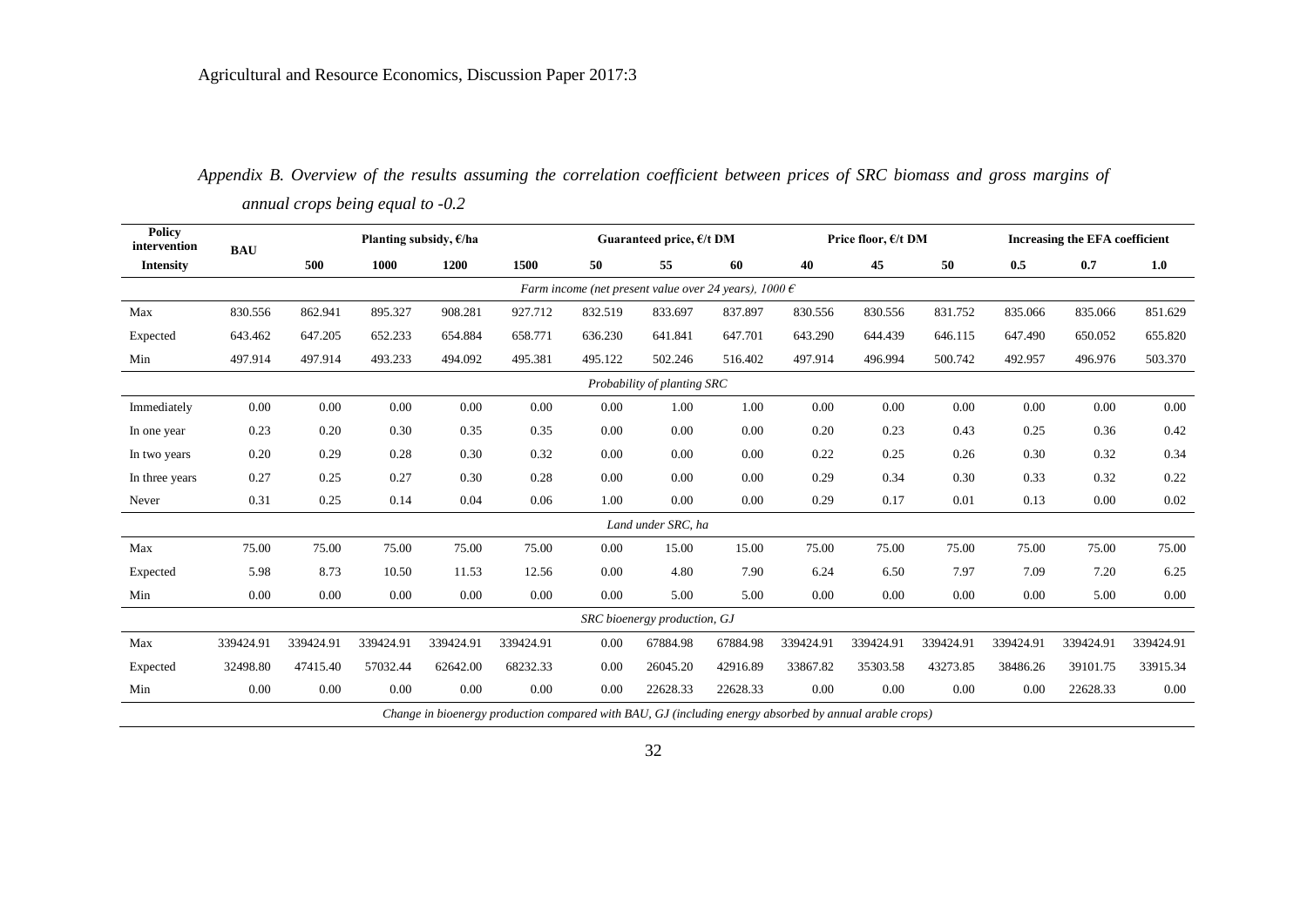|                                                                |                             |           | $\mathbf \sigma$         |           |           |         |                              |          |           |                     |           |           |                                |           |
|----------------------------------------------------------------|-----------------------------|-----------|--------------------------|-----------|-----------|---------|------------------------------|----------|-----------|---------------------|-----------|-----------|--------------------------------|-----------|
| <b>Policy</b><br>intervention                                  | <b>BAU</b>                  |           | Planting subsidy, $E/ha$ |           |           |         | Guaranteed price, $E/t$ DM   |          |           | Price floor, €/t DM |           |           | Increasing the EFA coefficient |           |
| <b>Intensity</b>                                               |                             | 500       | 1000                     | 1200      | 1500      | 50      | 55                           | 60       | 40        | 45                  | 50        | 0.5       | 0.7                            | 1.0       |
| Farm income (net present value over 24 years), 1000 $\epsilon$ |                             |           |                          |           |           |         |                              |          |           |                     |           |           |                                |           |
| Max                                                            | 830.556                     | 862.941   | 895.327                  | 908.281   | 927.712   | 832.519 | 833.697                      | 837.897  | 830.556   | 830.556             | 831.752   | 835.066   | 835.066                        | 851.629   |
| Expected                                                       | 643.462                     | 647.205   | 652.233                  | 654.884   | 658.771   | 636.230 | 641.841                      | 647.701  | 643.290   | 644.439             | 646.115   | 647.490   | 650.052                        | 655.820   |
| Min                                                            | 497.914                     | 497.914   | 493.233                  | 494.092   | 495.381   | 495.122 | 502.246                      | 516.402  | 497.914   | 496.994             | 500.742   | 492.957   | 496.976                        | 503.370   |
|                                                                | Probability of planting SRC |           |                          |           |           |         |                              |          |           |                     |           |           |                                |           |
| Immediately                                                    | 0.00                        | 0.00      | 0.00                     | 0.00      | 0.00      | 0.00    | 1.00                         | 1.00     | 0.00      | 0.00                | 0.00      | 0.00      | 0.00                           | $0.00\,$  |
| In one year                                                    | 0.23                        | 0.20      | 0.30                     | 0.35      | 0.35      | 0.00    | 0.00                         | 0.00     | 0.20      | 0.23                | 0.43      | 0.25      | 0.36                           | 0.42      |
| In two years                                                   | 0.20                        | 0.29      | 0.28                     | 0.30      | 0.32      | 0.00    | 0.00                         | 0.00     | 0.22      | 0.25                | 0.26      | 0.30      | 0.32                           | 0.34      |
| In three years                                                 | 0.27                        | 0.25      | 0.27                     | 0.30      | 0.28      | 0.00    | 0.00                         | 0.00     | 0.29      | 0.34                | 0.30      | 0.33      | 0.32                           | 0.22      |
| Never                                                          | 0.31                        | 0.25      | 0.14                     | 0.04      | 0.06      | 1.00    | 0.00                         | 0.00     | 0.29      | 0.17                | 0.01      | 0.13      | 0.00                           | 0.02      |
|                                                                |                             |           |                          |           |           |         | Land under SRC, ha           |          |           |                     |           |           |                                |           |
| Max                                                            | 75.00                       | 75.00     | 75.00                    | 75.00     | 75.00     | 0.00    | 15.00                        | 15.00    | 75.00     | 75.00               | 75.00     | 75.00     | 75.00                          | 75.00     |
| Expected                                                       | 5.98                        | 8.73      | 10.50                    | 11.53     | 12.56     | 0.00    | 4.80                         | 7.90     | 6.24      | 6.50                | 7.97      | 7.09      | 7.20                           | 6.25      |
| Min                                                            | 0.00                        | 0.00      | 0.00                     | 0.00      | 0.00      | 0.00    | 5.00                         | 5.00     | 0.00      | 0.00                | 0.00      | 0.00      | 5.00                           | 0.00      |
|                                                                |                             |           |                          |           |           |         | SRC bioenergy production, GJ |          |           |                     |           |           |                                |           |
| Max                                                            | 339424.91                   | 339424.91 | 339424.91                | 339424.91 | 339424.91 | 0.00    | 67884.98                     | 67884.98 | 339424.91 | 339424.91           | 339424.91 | 339424.91 | 339424.91                      | 339424.91 |
| Expected                                                       | 32498.80                    | 47415.40  | 57032.44                 | 62642.00  | 68232.33  | 0.00    | 26045.20                     | 42916.89 | 33867.82  | 35303.58            | 43273.85  | 38486.26  | 39101.75                       | 33915.34  |
| Min                                                            | 0.00                        | 0.00      | 0.00                     | 0.00      | 0.00      | 0.00    | 22628.33                     | 22628.33 | 0.00      | 0.00                | 0.00      | 0.00      | 22628.33                       | 0.00      |
|                                                                |                             |           |                          |           |           |         |                              |          |           |                     |           |           |                                |           |

*Appendix B. Overview of the results assuming the correlation coefficient between prices of SRC biomass and gross margins of annual crops being equal to -0.2*

*Change in bioenergy production compared with BAU, GJ (including energy absorbed by annual arable crops)*